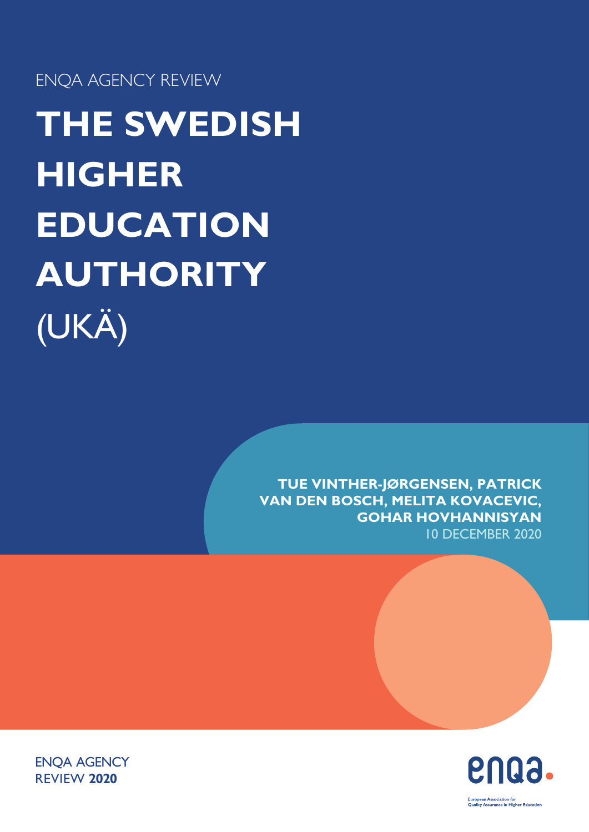ENQA AGENCY REVIEW

**THE SWEDISH HIGHER EDUCATION AUTHORITY** (UKÄ)

> **TUE VINTHER-JØRGENSEN, PATRICK VAN DEN BOSCH, MELITA KOVACEVIC, GOHAR HOVHANNISYAN** 10 DECEMBER 2020



ENQA AGENCY REVIEW **2020**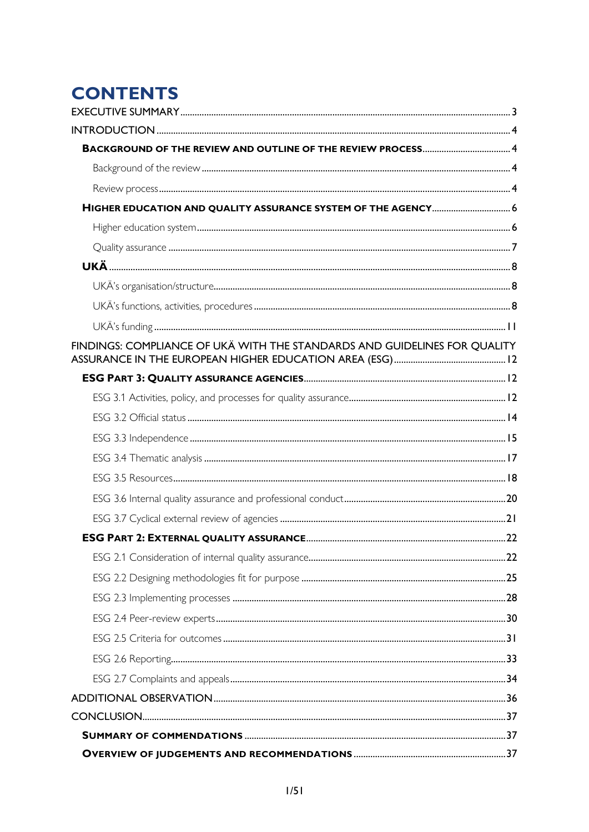# **CONTENTS**

| HIGHER EDUCATION AND QUALITY ASSURANCE SYSTEM OF THE AGENCY 6             |  |
|---------------------------------------------------------------------------|--|
|                                                                           |  |
|                                                                           |  |
|                                                                           |  |
|                                                                           |  |
|                                                                           |  |
|                                                                           |  |
| FINDINGS: COMPLIANCE OF UKÄ WITH THE STANDARDS AND GUIDELINES FOR QUALITY |  |
|                                                                           |  |
|                                                                           |  |
|                                                                           |  |
|                                                                           |  |
|                                                                           |  |
|                                                                           |  |
|                                                                           |  |
|                                                                           |  |
|                                                                           |  |
|                                                                           |  |
|                                                                           |  |
|                                                                           |  |
|                                                                           |  |
|                                                                           |  |
|                                                                           |  |
|                                                                           |  |
|                                                                           |  |
|                                                                           |  |
|                                                                           |  |
|                                                                           |  |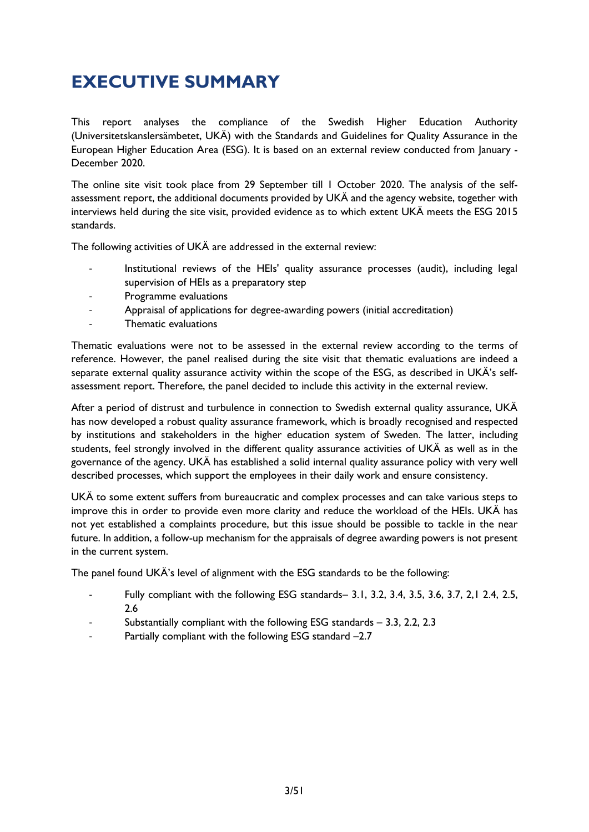# <span id="page-3-0"></span>**EXECUTIVE SUMMARY**

This report analyses the compliance of the Swedish Higher Education Authority (Universitetskanslersämbetet, UKÄ) with the Standards and Guidelines for Quality Assurance in the European Higher Education Area (ESG). It is based on an external review conducted from January - December 2020.

The online site visit took place from 29 September till 1 October 2020. The analysis of the selfassessment report, the additional documents provided by UKÄ and the agency website, together with interviews held during the site visit, provided evidence as to which extent UKÄ meets the ESG 2015 standards.

The following activities of UKÄ are addressed in the external review:

- Institutional reviews of the HEIs' quality assurance processes (audit), including legal supervision of HEIs as a preparatory step
- Programme evaluations
- Appraisal of applications for degree-awarding powers (initial accreditation)
- Thematic evaluations

Thematic evaluations were not to be assessed in the external review according to the terms of reference. However, the panel realised during the site visit that thematic evaluations are indeed a separate external quality assurance activity within the scope of the ESG, as described in UKÄ's selfassessment report. Therefore, the panel decided to include this activity in the external review.

After a period of distrust and turbulence in connection to Swedish external quality assurance, UKÄ has now developed a robust quality assurance framework, which is broadly recognised and respected by institutions and stakeholders in the higher education system of Sweden. The latter, including students, feel strongly involved in the different quality assurance activities of UKÄ as well as in the governance of the agency. UKÄ has established a solid internal quality assurance policy with very well described processes, which support the employees in their daily work and ensure consistency.

UKÄ to some extent suffers from bureaucratic and complex processes and can take various steps to improve this in order to provide even more clarity and reduce the workload of the HEIs. UKÄ has not yet established a complaints procedure, but this issue should be possible to tackle in the near future. In addition, a follow-up mechanism for the appraisals of degree awarding powers is not present in the current system.

The panel found UKÄ's level of alignment with the ESG standards to be the following:

- Fully compliant with the following ESG standards– 3.1, 3.2, 3.4, 3.5, 3.6, 3.7, 2,1 2.4, 2.5, 2.6
- Substantially compliant with the following ESG standards  $-$  3.3, 2.2, 2.3
- Partially compliant with the following ESG standard -2.7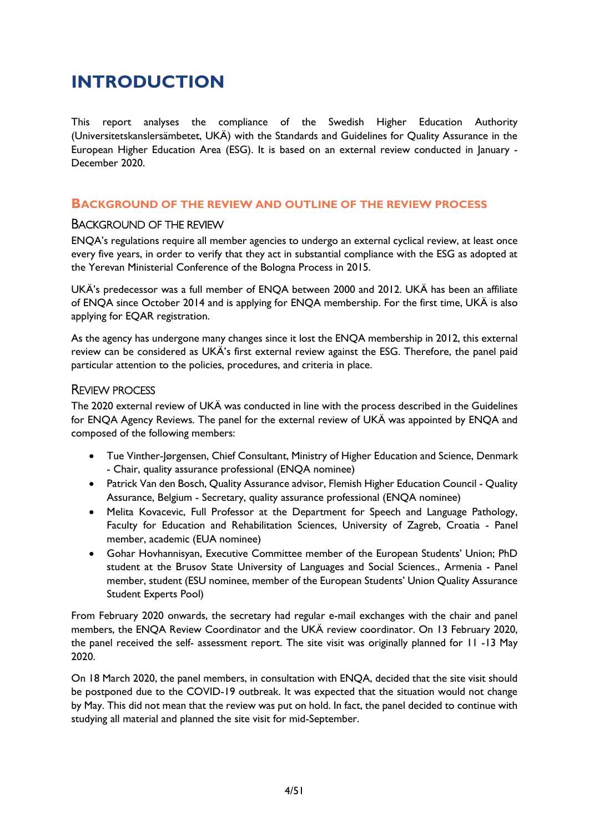# <span id="page-4-0"></span>**INTRODUCTION**

This report analyses the compliance of the Swedish Higher Education Authority (Universitetskanslersämbetet, UKÄ) with the Standards and Guidelines for Quality Assurance in the European Higher Education Area (ESG). It is based on an external review conducted in January - December 2020.

### <span id="page-4-1"></span>**BACKGROUND OF THE REVIEW AND OUTLINE OF THE REVIEW PROCESS**

#### <span id="page-4-2"></span>BACKGROUND OF THE REVIEW

ENQA's regulations require all member agencies to undergo an external cyclical review, at least once every five years, in order to verify that they act in substantial compliance with the ESG as adopted at the Yerevan Ministerial Conference of the Bologna Process in 2015.

UKÄ's predecessor was a full member of ENQA between 2000 and 2012. UKÄ has been an affiliate of ENQA since October 2014 and is applying for ENQA membership. For the first time, UKÄ is also applying for EQAR registration.

As the agency has undergone many changes since it lost the ENQA membership in 2012, this external review can be considered as UKÄ's first external review against the ESG. Therefore, the panel paid particular attention to the policies, procedures, and criteria in place.

# <span id="page-4-3"></span>REVIEW PROCESS

The 2020 external review of UKÄ was conducted in line with the process described in the Guidelines for ENQA Agency Reviews. The panel for the external review of UKÄ was appointed by ENQA and composed of the following members:

- Tue Vinther-Jørgensen, Chief Consultant, Ministry of Higher Education and Science, Denmark - Chair, quality assurance professional (ENQA nominee)
- Patrick Van den Bosch, Quality Assurance advisor, Flemish Higher Education Council Quality Assurance, Belgium - Secretary, quality assurance professional (ENQA nominee)
- Melita Kovacevic, Full Professor at the Department for Speech and Language Pathology, Faculty for Education and Rehabilitation Sciences, University of Zagreb, Croatia - Panel member, academic (EUA nominee)
- Gohar Hovhannisyan, Executive Committee member of the European Students' Union; PhD student at the Brusov State University of Languages and Social Sciences., Armenia - Panel member, student (ESU nominee, member of the European Students' Union Quality Assurance Student Experts Pool)

From February 2020 onwards, the secretary had regular e-mail exchanges with the chair and panel members, the ENQA Review Coordinator and the UKÄ review coordinator. On 13 February 2020, the panel received the self- assessment report. The site visit was originally planned for 11 -13 May 2020.

On 18 March 2020, the panel members, in consultation with ENQA, decided that the site visit should be postponed due to the COVID-19 outbreak. It was expected that the situation would not change by May. This did not mean that the review was put on hold. In fact, the panel decided to continue with studying all material and planned the site visit for mid-September.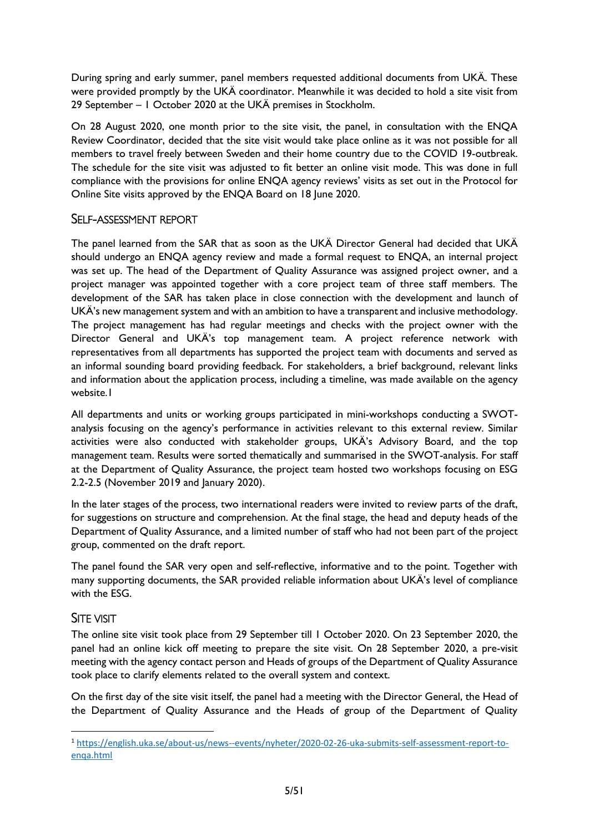During spring and early summer, panel members requested additional documents from UKÄ. These were provided promptly by the UKÄ coordinator. Meanwhile it was decided to hold a site visit from 29 September – 1 October 2020 at the UKÄ premises in Stockholm.

On 28 August 2020, one month prior to the site visit, the panel, in consultation with the ENQA Review Coordinator, decided that the site visit would take place online as it was not possible for all members to travel freely between Sweden and their home country due to the COVID 19-outbreak. The schedule for the site visit was adjusted to fit better an online visit mode. This was done in full compliance with the provisions for online ENQA agency reviews' visits as set out in the Protocol for Online Site visits approved by the ENQA Board on 18 June 2020.

# SELF-ASSESSMENT REPORT

The panel learned from the SAR that as soon as the UKÄ Director General had decided that UKÄ should undergo an ENQA agency review and made a formal request to ENQA, an internal project was set up. The head of the Department of Quality Assurance was assigned project owner, and a project manager was appointed together with a core project team of three staff members. The development of the SAR has taken place in close connection with the development and launch of UKÄ's new management system and with an ambition to have a transparent and inclusive methodology. The project management has had regular meetings and checks with the project owner with the Director General and UKÄ's top management team. A project reference network with representatives from all departments has supported the project team with documents and served as an informal sounding board providing feedback. For stakeholders, a brief background, relevant links and information about the application process, including a timeline, was made available on the agency website.1

All departments and units or working groups participated in mini-workshops conducting a SWOTanalysis focusing on the agency's performance in activities relevant to this external review. Similar activities were also conducted with stakeholder groups, UKÄ's Advisory Board, and the top management team. Results were sorted thematically and summarised in the SWOT-analysis. For staff at the Department of Quality Assurance, the project team hosted two workshops focusing on ESG 2.2-2.5 (November 2019 and January 2020).

In the later stages of the process, two international readers were invited to review parts of the draft, for suggestions on structure and comprehension. At the final stage, the head and deputy heads of the Department of Quality Assurance, and a limited number of staff who had not been part of the project group, commented on the draft report.

The panel found the SAR very open and self-reflective, informative and to the point. Together with many supporting documents, the SAR provided reliable information about UKÄ's level of compliance with the ESG.

# SITE VISIT

The online site visit took place from 29 September till 1 October 2020. On 23 September 2020, the panel had an online kick off meeting to prepare the site visit. On 28 September 2020, a pre-visit meeting with the agency contact person and Heads of groups of the Department of Quality Assurance took place to clarify elements related to the overall system and context.

On the first day of the site visit itself, the panel had a meeting with the Director General, the Head of the Department of Quality Assurance and the Heads of group of the Department of Quality

<sup>1</sup> [https://english.uka.se/about-us/news--events/nyheter/2020-02-26-uka-submits-self-assessment-report-to](https://english.uka.se/about-us/news--events/nyheter/2020-02-26-uka-submits-self-assessment-report-to-enqa.html)[enqa.html](https://english.uka.se/about-us/news--events/nyheter/2020-02-26-uka-submits-self-assessment-report-to-enqa.html)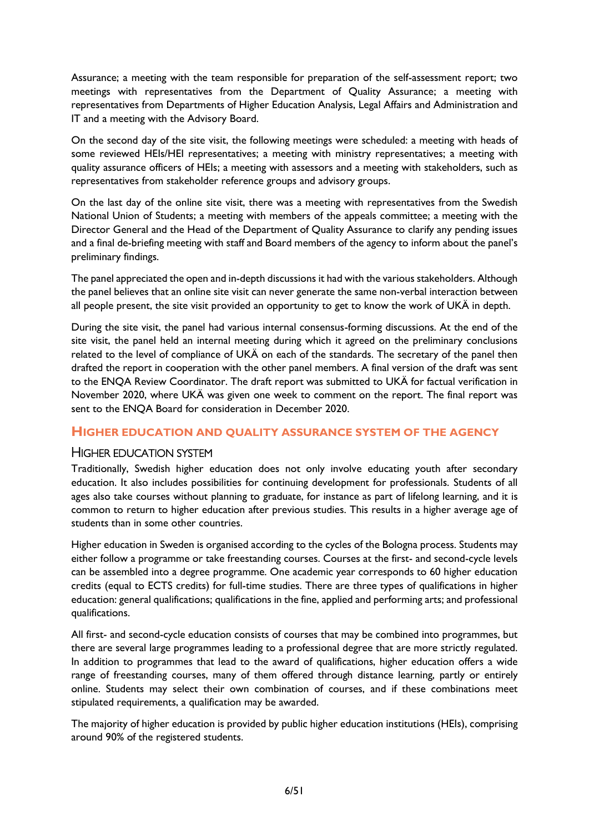Assurance; a meeting with the team responsible for preparation of the self-assessment report; two meetings with representatives from the Department of Quality Assurance; a meeting with representatives from Departments of Higher Education Analysis, Legal Affairs and Administration and IT and a meeting with the Advisory Board.

On the second day of the site visit, the following meetings were scheduled: a meeting with heads of some reviewed HEIs/HEI representatives; a meeting with ministry representatives; a meeting with quality assurance officers of HEIs; a meeting with assessors and a meeting with stakeholders, such as representatives from stakeholder reference groups and advisory groups.

On the last day of the online site visit, there was a meeting with representatives from the Swedish National Union of Students; a meeting with members of the appeals committee; a meeting with the Director General and the Head of the Department of Quality Assurance to clarify any pending issues and a final de-briefing meeting with staff and Board members of the agency to inform about the panel's preliminary findings.

The panel appreciated the open and in-depth discussions it had with the various stakeholders. Although the panel believes that an online site visit can never generate the same non-verbal interaction between all people present, the site visit provided an opportunity to get to know the work of UKÄ in depth.

During the site visit, the panel had various internal consensus-forming discussions. At the end of the site visit, the panel held an internal meeting during which it agreed on the preliminary conclusions related to the level of compliance of UKÄ on each of the standards. The secretary of the panel then drafted the report in cooperation with the other panel members. A final version of the draft was sent to the ENQA Review Coordinator. The draft report was submitted to UKÄ for factual verification in November 2020, where UKÄ was given one week to comment on the report. The final report was sent to the ENQA Board for consideration in December 2020.

#### <span id="page-6-0"></span>**HIGHER EDUCATION AND QUALITY ASSURANCE SYSTEM OF THE AGENCY**

# <span id="page-6-1"></span>HIGHER EDUCATION SYSTEM

Traditionally, Swedish higher education does not only involve educating youth after secondary education. It also includes possibilities for continuing development for professionals. Students of all ages also take courses without planning to graduate, for instance as part of lifelong learning, and it is common to return to higher education after previous studies. This results in a higher average age of students than in some other countries.

Higher education in Sweden is organised according to the cycles of the Bologna process. Students may either follow a programme or take freestanding courses. Courses at the first- and second-cycle levels can be assembled into a degree programme. One academic year corresponds to 60 higher education credits (equal to ECTS credits) for full-time studies. There are three types of qualifications in higher education: general qualifications; qualifications in the fine, applied and performing arts; and professional qualifications.

All first- and second-cycle education consists of courses that may be combined into programmes, but there are several large programmes leading to a professional degree that are more strictly regulated. In addition to programmes that lead to the award of qualifications, higher education offers a wide range of freestanding courses, many of them offered through distance learning, partly or entirely online. Students may select their own combination of courses, and if these combinations meet stipulated requirements, a qualification may be awarded.

The majority of higher education is provided by public higher education institutions (HEIs), comprising around 90% of the registered students.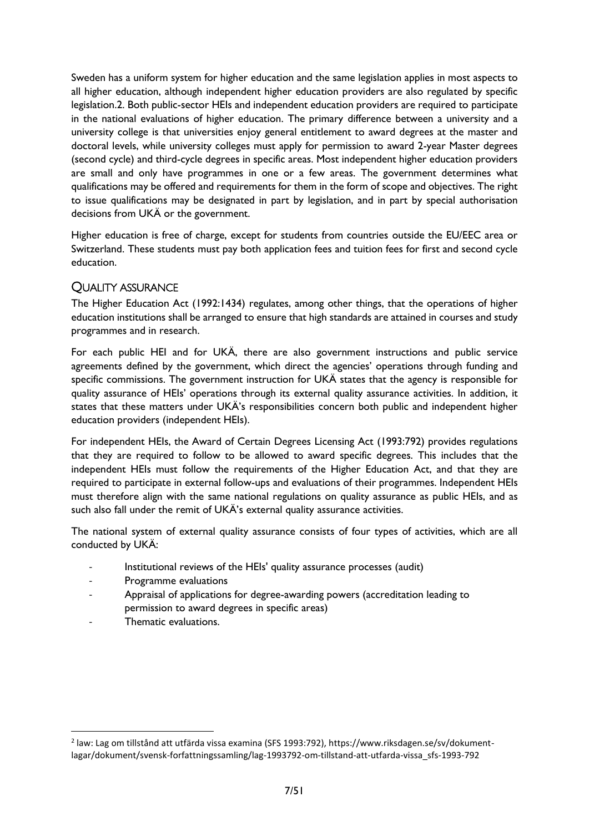Sweden has a uniform system for higher education and the same legislation applies in most aspects to all higher education, although independent higher education providers are also regulated by specific legislation.2. Both public-sector HEIs and independent education providers are required to participate in the national evaluations of higher education. The primary difference between a university and a university college is that universities enjoy general entitlement to award degrees at the master and doctoral levels, while university colleges must apply for permission to award 2-year Master degrees (second cycle) and third-cycle degrees in specific areas. Most independent higher education providers are small and only have programmes in one or a few areas. The government determines what qualifications may be offered and requirements for them in the form of scope and objectives. The right to issue qualifications may be designated in part by legislation, and in part by special authorisation decisions from UKÄ or the government.

Higher education is free of charge, except for students from countries outside the EU/EEC area or Switzerland. These students must pay both application fees and tuition fees for first and second cycle education.

# <span id="page-7-0"></span>QUALITY ASSURANCE

The Higher Education Act (1992:1434) regulates, among other things, that the operations of higher education institutions shall be arranged to ensure that high standards are attained in courses and study programmes and in research.

For each public HEI and for UKÄ, there are also government instructions and public service agreements defined by the government, which direct the agencies' operations through funding and specific commissions. The government instruction for UKÄ states that the agency is responsible for quality assurance of HEIs' operations through its external quality assurance activities. In addition, it states that these matters under UKÄ's responsibilities concern both public and independent higher education providers (independent HEIs).

For independent HEIs, the Award of Certain Degrees Licensing Act (1993:792) provides regulations that they are required to follow to be allowed to award specific degrees. This includes that the independent HEIs must follow the requirements of the Higher Education Act, and that they are required to participate in external follow-ups and evaluations of their programmes. Independent HEIs must therefore align with the same national regulations on quality assurance as public HEIs, and as such also fall under the remit of UKÄ's external quality assurance activities.

The national system of external quality assurance consists of four types of activities, which are all conducted by UKÄ:

- Institutional reviews of the HEIs' quality assurance processes (audit)
- Programme evaluations
- Appraisal of applications for degree-awarding powers (accreditation leading to permission to award degrees in specific areas)
- Thematic evaluations.

<sup>2</sup> law: Lag om tillstånd att utfärda vissa examina (SFS 1993:792), https://www.riksdagen.se/sv/dokumentlagar/dokument/svensk-forfattningssamling/lag-1993792-om-tillstand-att-utfarda-vissa\_sfs-1993-792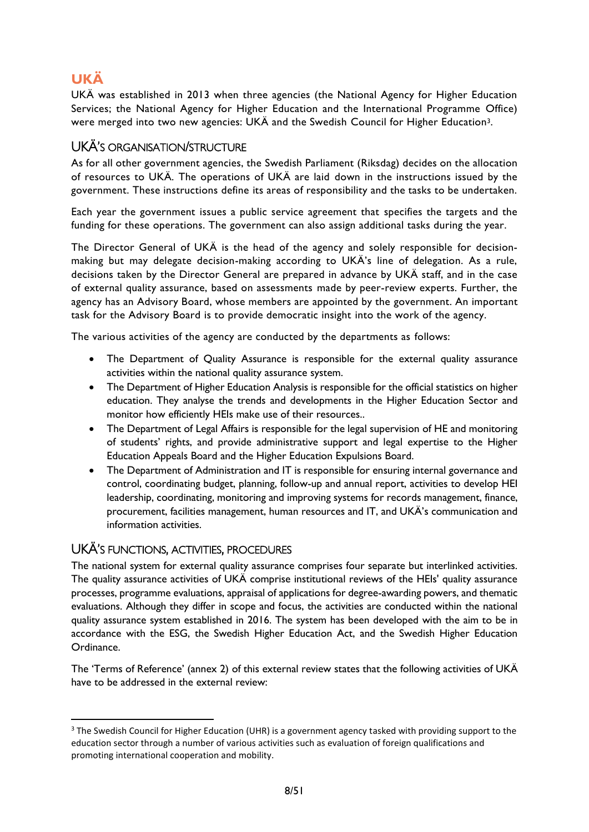# <span id="page-8-0"></span>**UKÄ**

UKÄ was established in 2013 when three agencies (the National Agency for Higher Education Services; the National Agency for Higher Education and the International Programme Office) were merged into two new agencies: UKÄ and the Swedish Council for Higher Education3.

# <span id="page-8-1"></span>UKÄ'S ORGANISATION/STRUCTURE

As for all other government agencies, the Swedish Parliament (Riksdag) decides on the allocation of resources to UKÄ. The operations of UKÄ are laid down in the instructions issued by the government. These instructions define its areas of responsibility and the tasks to be undertaken.

Each year the government issues a public service agreement that specifies the targets and the funding for these operations. The government can also assign additional tasks during the year.

The Director General of UKÄ is the head of the agency and solely responsible for decisionmaking but may delegate decision-making according to UKÄ's line of delegation. As a rule, decisions taken by the Director General are prepared in advance by UKÄ staff, and in the case of external quality assurance, based on assessments made by peer-review experts. Further, the agency has an Advisory Board, whose members are appointed by the government. An important task for the Advisory Board is to provide democratic insight into the work of the agency.

The various activities of the agency are conducted by the departments as follows:

- The Department of Quality Assurance is responsible for the external quality assurance activities within the national quality assurance system.
- The Department of Higher Education Analysis is responsible for the official statistics on higher education. They analyse the trends and developments in the Higher Education Sector and monitor how efficiently HEIs make use of their resources..
- The Department of Legal Affairs is responsible for the legal supervision of HE and monitoring of students' rights, and provide administrative support and legal expertise to the Higher Education Appeals Board and the Higher Education Expulsions Board.
- The Department of Administration and IT is responsible for ensuring internal governance and control, coordinating budget, planning, follow-up and annual report, activities to develop HEI leadership, coordinating, monitoring and improving systems for records management, finance, procurement, facilities management, human resources and IT, and UKÄ's communication and information activities.

# <span id="page-8-2"></span>UKÄ'S FUNCTIONS, ACTIVITIES, PROCEDURES

The national system for external quality assurance comprises four separate but interlinked activities. The quality assurance activities of UKÄ comprise institutional reviews of the HEIs' quality assurance processes, programme evaluations, appraisal of applications for degree-awarding powers, and thematic evaluations. Although they differ in scope and focus, the activities are conducted within the national quality assurance system established in 2016. The system has been developed with the aim to be in accordance with the ESG, the Swedish Higher Education Act, and the Swedish Higher Education Ordinance.

The 'Terms of Reference' (annex 2) of this external review states that the following activities of UKÄ have to be addressed in the external review:

<sup>&</sup>lt;sup>3</sup> The Swedish Council for Higher Education (UHR) is a government agency tasked with providing support to the education sector through a number of various activities such as evaluation of foreign qualifications and promoting international cooperation and mobility.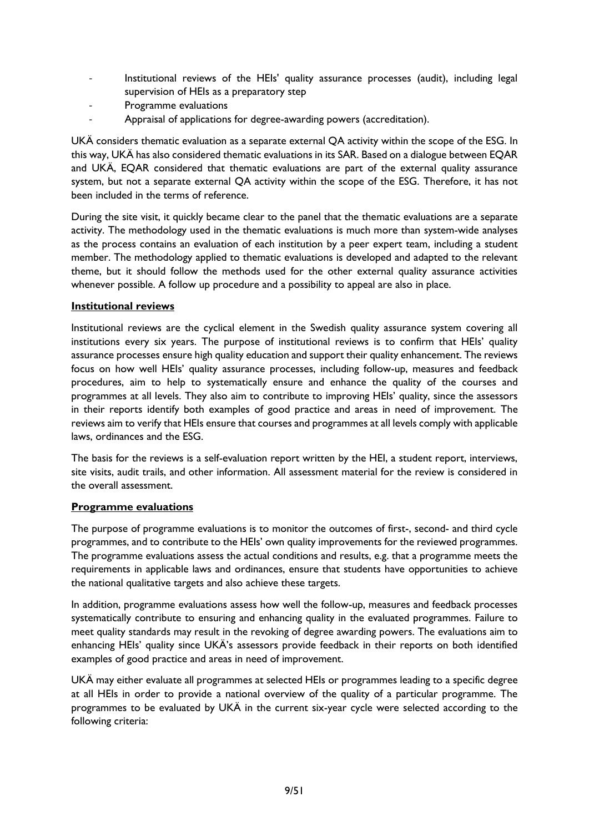- Institutional reviews of the HEIs' quality assurance processes (audit), including legal supervision of HEIs as a preparatory step
- Programme evaluations
- Appraisal of applications for degree-awarding powers (accreditation).

UKÄ considers thematic evaluation as a separate external QA activity within the scope of the ESG. In this way, UKÄ has also considered thematic evaluations in its SAR. Based on a dialogue between EQAR and UKÄ, EQAR considered that thematic evaluations are part of the external quality assurance system, but not a separate external QA activity within the scope of the ESG. Therefore, it has not been included in the terms of reference.

During the site visit, it quickly became clear to the panel that the thematic evaluations are a separate activity. The methodology used in the thematic evaluations is much more than system-wide analyses as the process contains an evaluation of each institution by a peer expert team, including a student member. The methodology applied to thematic evaluations is developed and adapted to the relevant theme, but it should follow the methods used for the other external quality assurance activities whenever possible. A follow up procedure and a possibility to appeal are also in place.

#### **Institutional reviews**

Institutional reviews are the cyclical element in the Swedish quality assurance system covering all institutions every six years. The purpose of institutional reviews is to confirm that HEIs' quality assurance processes ensure high quality education and support their quality enhancement. The reviews focus on how well HEIs' quality assurance processes, including follow-up, measures and feedback procedures, aim to help to systematically ensure and enhance the quality of the courses and programmes at all levels. They also aim to contribute to improving HEIs' quality, since the assessors in their reports identify both examples of good practice and areas in need of improvement. The reviews aim to verify that HEIs ensure that courses and programmes at all levels comply with applicable laws, ordinances and the ESG.

The basis for the reviews is a self-evaluation report written by the HEI, a student report, interviews, site visits, audit trails, and other information. All assessment material for the review is considered in the overall assessment.

#### **Programme evaluations**

The purpose of programme evaluations is to monitor the outcomes of first-, second- and third cycle programmes, and to contribute to the HEIs' own quality improvements for the reviewed programmes. The programme evaluations assess the actual conditions and results, e.g. that a programme meets the requirements in applicable laws and ordinances, ensure that students have opportunities to achieve the national qualitative targets and also achieve these targets.

In addition, programme evaluations assess how well the follow-up, measures and feedback processes systematically contribute to ensuring and enhancing quality in the evaluated programmes. Failure to meet quality standards may result in the revoking of degree awarding powers. The evaluations aim to enhancing HEIs' quality since UKÄ's assessors provide feedback in their reports on both identified examples of good practice and areas in need of improvement.

UKÄ may either evaluate all programmes at selected HEIs or programmes leading to a specific degree at all HEIs in order to provide a national overview of the quality of a particular programme. The programmes to be evaluated by UKÄ in the current six-year cycle were selected according to the following criteria: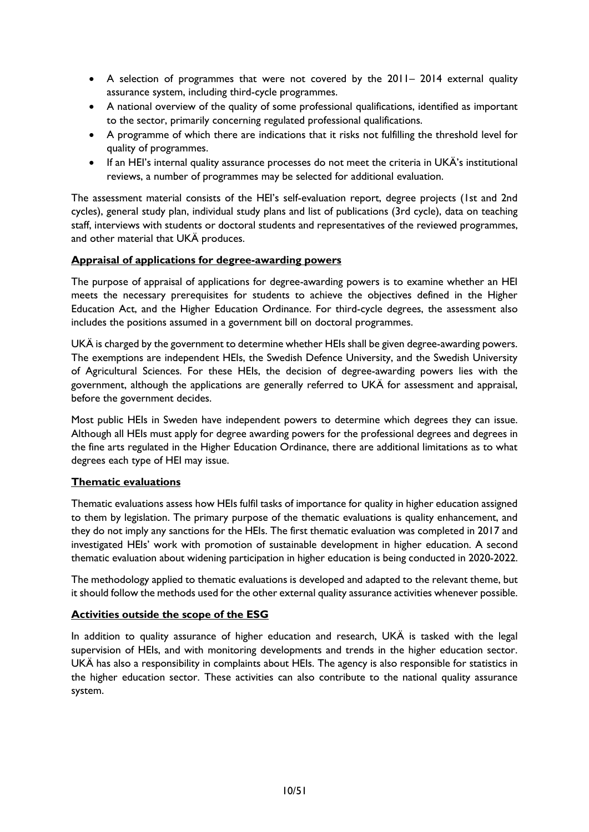- A selection of programmes that were not covered by the 2011– 2014 external quality assurance system, including third-cycle programmes.
- A national overview of the quality of some professional qualifications, identified as important to the sector, primarily concerning regulated professional qualifications.
- A programme of which there are indications that it risks not fulfilling the threshold level for quality of programmes.
- If an HEI's internal quality assurance processes do not meet the criteria in UKÄ's institutional reviews, a number of programmes may be selected for additional evaluation.

The assessment material consists of the HEI's self-evaluation report, degree projects (1st and 2nd cycles), general study plan, individual study plans and list of publications (3rd cycle), data on teaching staff, interviews with students or doctoral students and representatives of the reviewed programmes, and other material that UKÄ produces.

#### **Appraisal of applications for degree-awarding powers**

The purpose of appraisal of applications for degree-awarding powers is to examine whether an HEI meets the necessary prerequisites for students to achieve the objectives defined in the Higher Education Act, and the Higher Education Ordinance. For third-cycle degrees, the assessment also includes the positions assumed in a government bill on doctoral programmes.

UKÄ is charged by the government to determine whether HEIs shall be given degree-awarding powers. The exemptions are independent HEIs, the Swedish Defence University, and the Swedish University of Agricultural Sciences. For these HEIs, the decision of degree-awarding powers lies with the government, although the applications are generally referred to UKÄ for assessment and appraisal, before the government decides.

Most public HEIs in Sweden have independent powers to determine which degrees they can issue. Although all HEIs must apply for degree awarding powers for the professional degrees and degrees in the fine arts regulated in the Higher Education Ordinance, there are additional limitations as to what degrees each type of HEI may issue.

#### **Thematic evaluations**

Thematic evaluations assess how HEIs fulfil tasks of importance for quality in higher education assigned to them by legislation. The primary purpose of the thematic evaluations is quality enhancement, and they do not imply any sanctions for the HEIs. The first thematic evaluation was completed in 2017 and investigated HEIs' work with promotion of sustainable development in higher education. A second thematic evaluation about widening participation in higher education is being conducted in 2020-2022.

The methodology applied to thematic evaluations is developed and adapted to the relevant theme, but it should follow the methods used for the other external quality assurance activities whenever possible.

#### **Activities outside the scope of the ESG**

In addition to quality assurance of higher education and research, UKÄ is tasked with the legal supervision of HEIs, and with monitoring developments and trends in the higher education sector. UKÄ has also a responsibility in complaints about HEIs. The agency is also responsible for statistics in the higher education sector. These activities can also contribute to the national quality assurance system.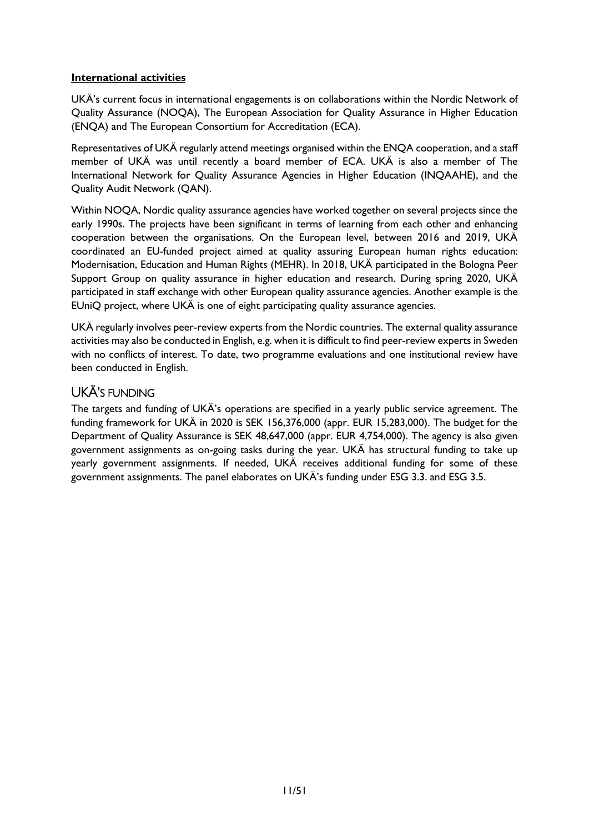#### **International activities**

UKÄ's current focus in international engagements is on collaborations within the Nordic Network of Quality Assurance (NOQA), The European Association for Quality Assurance in Higher Education (ENQA) and The European Consortium for Accreditation (ECA).

Representatives of UKÄ regularly attend meetings organised within the ENQA cooperation, and a staff member of UKÄ was until recently a board member of ECA. UKÄ is also a member of The International Network for Quality Assurance Agencies in Higher Education (INQAAHE), and the Quality Audit Network (QAN).

Within NOQA, Nordic quality assurance agencies have worked together on several projects since the early 1990s. The projects have been significant in terms of learning from each other and enhancing cooperation between the organisations. On the European level, between 2016 and 2019, UKÄ coordinated an EU-funded project aimed at quality assuring European human rights education: Modernisation, Education and Human Rights (MEHR). In 2018, UKÄ participated in the Bologna Peer Support Group on quality assurance in higher education and research. During spring 2020, UKÄ participated in staff exchange with other European quality assurance agencies. Another example is the EUniQ project, where UKÄ is one of eight participating quality assurance agencies.

UKÄ regularly involves peer-review experts from the Nordic countries. The external quality assurance activities may also be conducted in English, e.g. when it is difficult to find peer-review experts in Sweden with no conflicts of interest. To date, two programme evaluations and one institutional review have been conducted in English.

# <span id="page-11-0"></span>UKÄ'S FUNDING

The targets and funding of UKÄ's operations are specified in a yearly public service agreement. The funding framework for UKÄ in 2020 is SEK 156,376,000 (appr. EUR 15,283,000). The budget for the Department of Quality Assurance is SEK 48,647,000 (appr. EUR 4,754,000). The agency is also given government assignments as on-going tasks during the year. UKÄ has structural funding to take up yearly government assignments. If needed, UKÄ receives additional funding for some of these government assignments. The panel elaborates on UKÄ's funding under ESG 3.3. and ESG 3.5.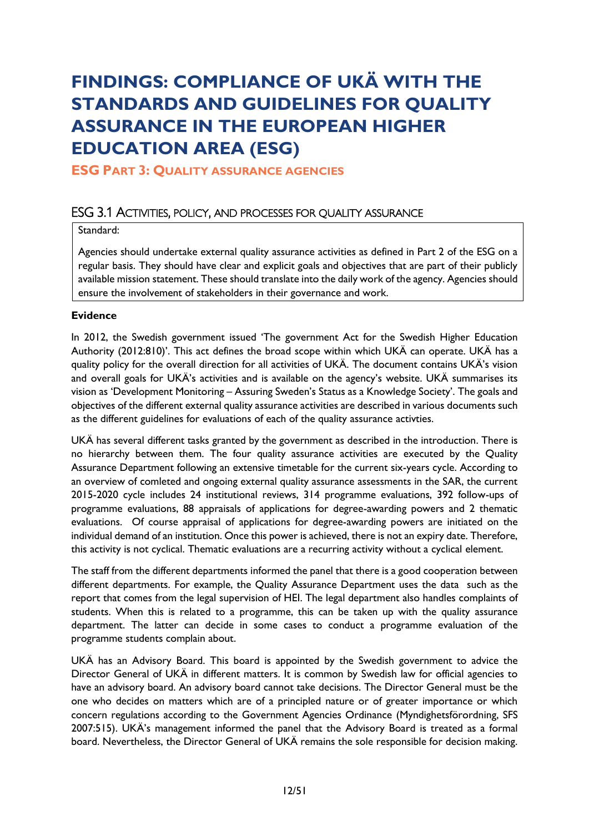# <span id="page-12-0"></span>**FINDINGS: COMPLIANCE OF UKÄ WITH THE STANDARDS AND GUIDELINES FOR QUALITY ASSURANCE IN THE EUROPEAN HIGHER EDUCATION AREA (ESG)**

# <span id="page-12-2"></span><span id="page-12-1"></span>**ESG PART 3: QUALITY ASSURANCE AGENCIES**

# ESG 3.1 ACTIVITIES, POLICY, AND PROCESSES FOR QUALITY ASSURANCE

#### Standard:

Agencies should undertake external quality assurance activities as defined in Part 2 of the ESG on a regular basis. They should have clear and explicit goals and objectives that are part of their publicly available mission statement. These should translate into the daily work of the agency. Agencies should ensure the involvement of stakeholders in their governance and work.

#### **Evidence**

In 2012, the Swedish government issued 'The government Act for the Swedish Higher Education Authority (2012:810)'. This act defines the broad scope within which UKÄ can operate. UKÄ has a quality policy for the overall direction for all activities of UKÄ. The document contains UKÄ's vision and overall goals for UKÄ's activities and is available on the agency's website. UKÄ summarises its vision as 'Development Monitoring – Assuring Sweden's Status as a Knowledge Society'. The goals and objectives of the different external quality assurance activities are described in various documents such as the different guidelines for evaluations of each of the quality assurance activties.

UKÄ has several different tasks granted by the government as described in the introduction. There is no hierarchy between them. The four quality assurance activities are executed by the Quality Assurance Department following an extensive timetable for the current six-years cycle. According to an overview of comleted and ongoing external quality assurance assessments in the SAR, the current 2015-2020 cycle includes 24 institutional reviews, 314 programme evaluations, 392 follow-ups of programme evaluations, 88 appraisals of applications for degree-awarding powers and 2 thematic evaluations. Of course appraisal of applications for degree-awarding powers are initiated on the individual demand of an institution. Once this power is achieved, there is not an expiry date. Therefore, this activity is not cyclical. Thematic evaluations are a recurring activity without a cyclical element.

The staff from the different departments informed the panel that there is a good cooperation between different departments. For example, the Quality Assurance Department uses the data such as the report that comes from the legal supervision of HEI. The legal department also handles complaints of students. When this is related to a programme, this can be taken up with the quality assurance department. The latter can decide in some cases to conduct a programme evaluation of the programme students complain about.

UKÄ has an Advisory Board. This board is appointed by the Swedish government to advice the Director General of UKÄ in different matters. It is common by Swedish law for official agencies to have an advisory board. An advisory board cannot take decisions. The Director General must be the one who decides on matters which are of a principled nature or of greater importance or which concern regulations according to the Government Agencies Ordinance (Myndighetsförordning, SFS 2007:515). UKÄ's management informed the panel that the Advisory Board is treated as a formal board. Nevertheless, the Director General of UKÄ remains the sole responsible for decision making.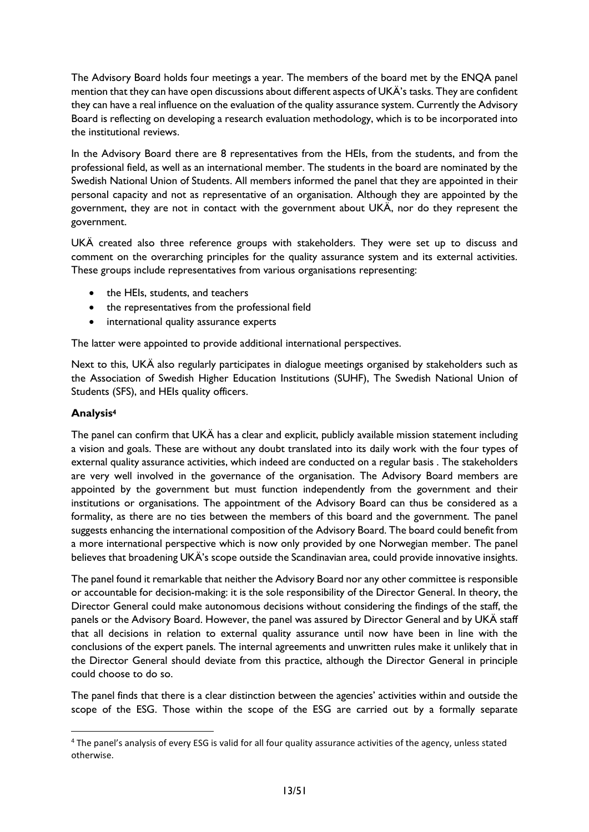The Advisory Board holds four meetings a year. The members of the board met by the ENQA panel mention that they can have open discussions about different aspects of UKÄ's tasks. They are confident they can have a real influence on the evaluation of the quality assurance system. Currently the Advisory Board is reflecting on developing a research evaluation methodology, which is to be incorporated into the institutional reviews.

In the Advisory Board there are 8 representatives from the HEIs, from the students, and from the professional field, as well as an international member. The students in the board are nominated by the Swedish National Union of Students. All members informed the panel that they are appointed in their personal capacity and not as representative of an organisation. Although they are appointed by the government, they are not in contact with the government about UKÄ, nor do they represent the government.

UKÄ created also three reference groups with stakeholders. They were set up to discuss and comment on the overarching principles for the quality assurance system and its external activities. These groups include representatives from various organisations representing:

- the HEIs, students, and teachers
- the representatives from the professional field
- international quality assurance experts

The latter were appointed to provide additional international perspectives.

Next to this, UKÄ also regularly participates in dialogue meetings organised by stakeholders such as the Association of Swedish Higher Education Institutions (SUHF), The Swedish National Union of Students (SFS), and HEIs quality officers.

#### **Analysis<sup>4</sup>**

The panel can confirm that UKÄ has a clear and explicit, publicly available mission statement including a vision and goals. These are without any doubt translated into its daily work with the four types of external quality assurance activities, which indeed are conducted on a regular basis . The stakeholders are very well involved in the governance of the organisation. The Advisory Board members are appointed by the government but must function independently from the government and their institutions or organisations. The appointment of the Advisory Board can thus be considered as a formality, as there are no ties between the members of this board and the government. The panel suggests enhancing the international composition of the Advisory Board. The board could benefit from a more international perspective which is now only provided by one Norwegian member. The panel believes that broadening UKÄ's scope outside the Scandinavian area, could provide innovative insights.

The panel found it remarkable that neither the Advisory Board nor any other committee is responsible or accountable for decision-making: it is the sole responsibility of the Director General. In theory, the Director General could make autonomous decisions without considering the findings of the staff, the panels or the Advisory Board. However, the panel was assured by Director General and by UKÄ staff that all decisions in relation to external quality assurance until now have been in line with the conclusions of the expert panels. The internal agreements and unwritten rules make it unlikely that in the Director General should deviate from this practice, although the Director General in principle could choose to do so.

The panel finds that there is a clear distinction between the agencies' activities within and outside the scope of the ESG. Those within the scope of the ESG are carried out by a formally separate

<sup>4</sup> The panel's analysis of every ESG is valid for all four quality assurance activities of the agency, unless stated otherwise.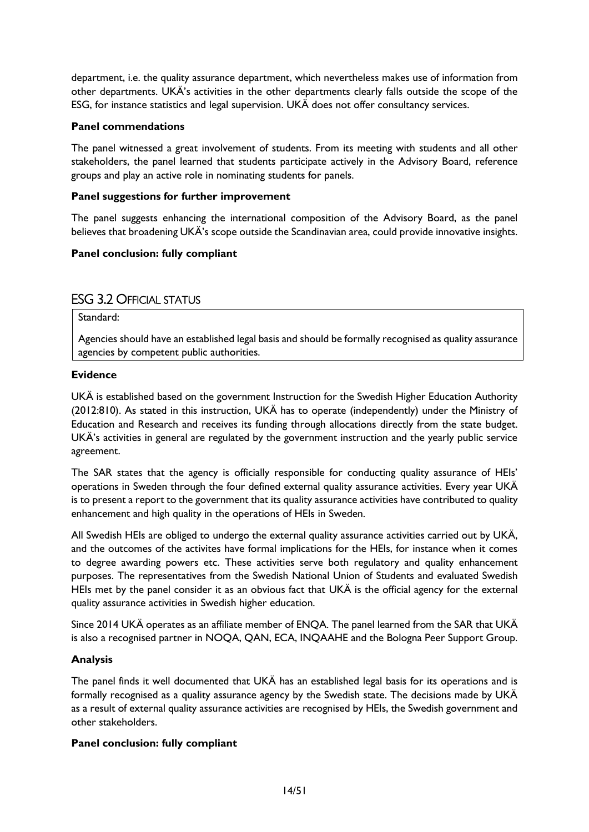department, i.e. the quality assurance department, which nevertheless makes use of information from other departments. UKÄ's activities in the other departments clearly falls outside the scope of the ESG, for instance statistics and legal supervision. UKÄ does not offer consultancy services.

#### **Panel commendations**

The panel witnessed a great involvement of students. From its meeting with students and all other stakeholders, the panel learned that students participate actively in the Advisory Board, reference groups and play an active role in nominating students for panels.

#### **Panel suggestions for further improvement**

The panel suggests enhancing the international composition of the Advisory Board, as the panel believes that broadening UKÄ's scope outside the Scandinavian area, could provide innovative insights.

#### <span id="page-14-0"></span>**Panel conclusion: fully compliant**

# ESG 3.2 OFFICIAL STATUS

Standard:

Agencies should have an established legal basis and should be formally recognised as quality assurance agencies by competent public authorities.

#### **Evidence**

UKÄ is established based on the government Instruction for the Swedish Higher Education Authority (2012:810). As stated in this instruction, UKÄ has to operate (independently) under the Ministry of Education and Research and receives its funding through allocations directly from the state budget. UKÄ's activities in general are regulated by the government instruction and the yearly public service agreement.

The SAR states that the agency is officially responsible for conducting quality assurance of HEIs' operations in Sweden through the four defined external quality assurance activities. Every year UKÄ is to present a report to the government that its quality assurance activities have contributed to quality enhancement and high quality in the operations of HEIs in Sweden.

All Swedish HEIs are obliged to undergo the external quality assurance activities carried out by UKÄ, and the outcomes of the activites have formal implications for the HEIs, for instance when it comes to degree awarding powers etc. These activities serve both regulatory and quality enhancement purposes. The representatives from the Swedish National Union of Students and evaluated Swedish HEIs met by the panel consider it as an obvious fact that UKÄ is the official agency for the external quality assurance activities in Swedish higher education.

Since 2014 UKÄ operates as an affiliate member of ENQA. The panel learned from the SAR that UKÄ is also a recognised partner in NOQA, QAN, ECA, INQAAHE and the Bologna Peer Support Group.

#### **Analysis**

The panel finds it well documented that UKÄ has an established legal basis for its operations and is formally recognised as a quality assurance agency by the Swedish state. The decisions made by UKÄ as a result of external quality assurance activities are recognised by HEIs, the Swedish government and other stakeholders.

#### **Panel conclusion: fully compliant**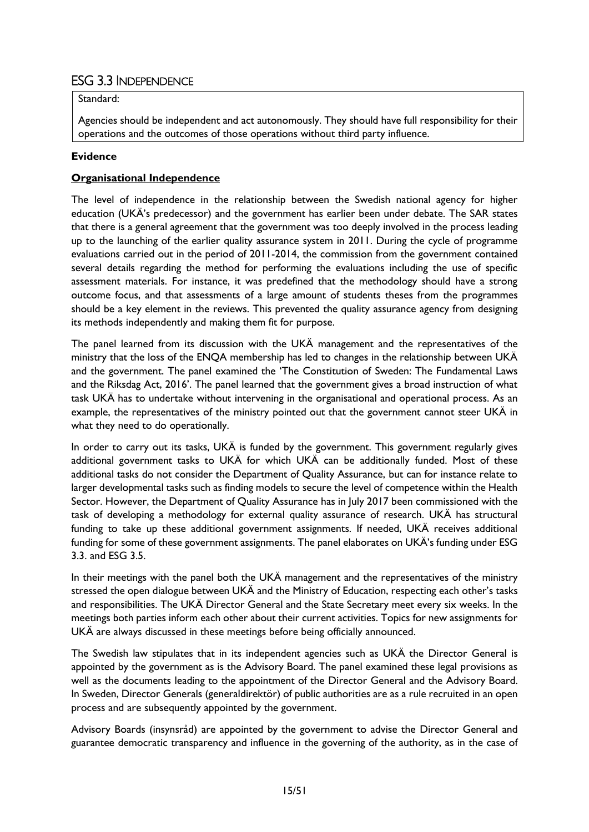# <span id="page-15-0"></span>ESG 3.3 INDEPENDENCE

#### Standard:

Agencies should be independent and act autonomously. They should have full responsibility for their operations and the outcomes of those operations without third party influence.

#### **Evidence**

#### **Organisational Independence**

The level of independence in the relationship between the Swedish national agency for higher education (UKÄ's predecessor) and the government has earlier been under debate. The SAR states that there is a general agreement that the government was too deeply involved in the process leading up to the launching of the earlier quality assurance system in 2011. During the cycle of programme evaluations carried out in the period of 2011-2014, the commission from the government contained several details regarding the method for performing the evaluations including the use of specific assessment materials. For instance, it was predefined that the methodology should have a strong outcome focus, and that assessments of a large amount of students theses from the programmes should be a key element in the reviews. This prevented the quality assurance agency from designing its methods independently and making them fit for purpose.

The panel learned from its discussion with the UKÄ management and the representatives of the ministry that the loss of the ENQA membership has led to changes in the relationship between UKÄ and the government. The panel examined the 'The Constitution of Sweden: The Fundamental Laws and the Riksdag Act, 2016'. The panel learned that the government gives a broad instruction of what task UKÄ has to undertake without intervening in the organisational and operational process. As an example, the representatives of the ministry pointed out that the government cannot steer UKÄ in what they need to do operationally.

In order to carry out its tasks, UKÄ is funded by the government. This government regularly gives additional government tasks to UKÄ for which UKÄ can be additionally funded. Most of these additional tasks do not consider the Department of Quality Assurance, but can for instance relate to larger developmental tasks such as finding models to secure the level of competence within the Health Sector. However, the Department of Quality Assurance has in July 2017 been commissioned with the task of developing a methodology for external quality assurance of research. UKÄ has structural funding to take up these additional government assignments. If needed, UKÄ receives additional funding for some of these government assignments. The panel elaborates on UKÄ's funding under ESG 3.3. and ESG 3.5.

In their meetings with the panel both the UKÄ management and the representatives of the ministry stressed the open dialogue between UKÄ and the Ministry of Education, respecting each other's tasks and responsibilities. The UKÄ Director General and the State Secretary meet every six weeks. In the meetings both parties inform each other about their current activities. Topics for new assignments for UKÄ are always discussed in these meetings before being officially announced.

The Swedish law stipulates that in its independent agencies such as UKÄ the Director General is appointed by the government as is the Advisory Board. The panel examined these legal provisions as well as the documents leading to the appointment of the Director General and the Advisory Board. In Sweden, Director Generals (generaldirektör) of public authorities are as a rule recruited in an open process and are subsequently appointed by the government.

Advisory Boards (insynsråd) are appointed by the government to advise the Director General and guarantee democratic transparency and influence in the governing of the authority, as in the case of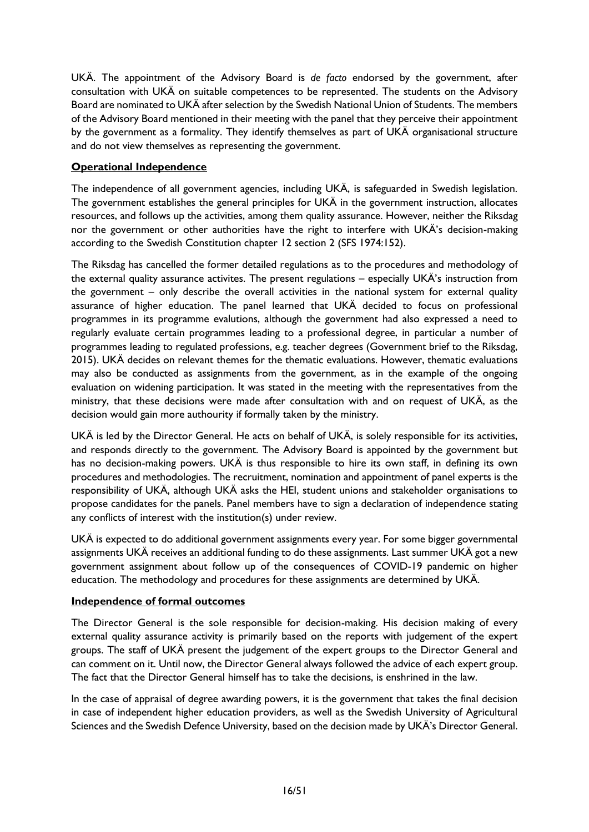UKÄ. The appointment of the Advisory Board is *de facto* endorsed by the government, after consultation with UKÄ on suitable competences to be represented. The students on the Advisory Board are nominated to UKÄ after selection by the Swedish National Union of Students. The members of the Advisory Board mentioned in their meeting with the panel that they perceive their appointment by the government as a formality. They identify themselves as part of UKÄ organisational structure and do not view themselves as representing the government.

### **Operational Independence**

The independence of all government agencies, including UKÄ, is safeguarded in Swedish legislation. The government establishes the general principles for UKÄ in the government instruction, allocates resources, and follows up the activities, among them quality assurance. However, neither the Riksdag nor the government or other authorities have the right to interfere with UKÄ's decision-making according to the Swedish Constitution chapter 12 section 2 (SFS 1974:152).

The Riksdag has cancelled the former detailed regulations as to the procedures and methodology of the external quality assurance activites. The present regulations – especially UKÄ's instruction from the government – only describe the overall activities in the national system for external quality assurance of higher education. The panel learned that UKÄ decided to focus on professional programmes in its programme evalutions, although the government had also expressed a need to regularly evaluate certain programmes leading to a professional degree, in particular a number of programmes leading to regulated professions, e.g. teacher degrees (Government brief to the Riksdag, 2015). UKÄ decides on relevant themes for the thematic evaluations. However, thematic evaluations may also be conducted as assignments from the government, as in the example of the ongoing evaluation on widening participation. It was stated in the meeting with the representatives from the ministry, that these decisions were made after consultation with and on request of UKÄ, as the decision would gain more authourity if formally taken by the ministry.

UKÄ is led by the Director General. He acts on behalf of UKÄ, is solely responsible for its activities, and responds directly to the government. The Advisory Board is appointed by the government but has no decision-making powers. UKÄ is thus responsible to hire its own staff, in defining its own procedures and methodologies. The recruitment, nomination and appointment of panel experts is the responsibility of UKÄ, although UKÄ asks the HEI, student unions and stakeholder organisations to propose candidates for the panels. Panel members have to sign a declaration of independence stating any conflicts of interest with the institution(s) under review.

UKÄ is expected to do additional government assignments every year. For some bigger governmental assignments UKÄ receives an additional funding to do these assignments. Last summer UKÄ got a new government assignment about follow up of the consequences of COVID-19 pandemic on higher education. The methodology and procedures for these assignments are determined by UKÄ.

#### **Independence of formal outcomes**

The Director General is the sole responsible for decision-making. His decision making of every external quality assurance activity is primarily based on the reports with judgement of the expert groups. The staff of UKÄ present the judgement of the expert groups to the Director General and can comment on it. Until now, the Director General always followed the advice of each expert group. The fact that the Director General himself has to take the decisions, is enshrined in the law.

In the case of appraisal of degree awarding powers, it is the government that takes the final decision in case of independent higher education providers, as well as the Swedish University of Agricultural Sciences and the Swedish Defence University, based on the decision made by UKÄ's Director General.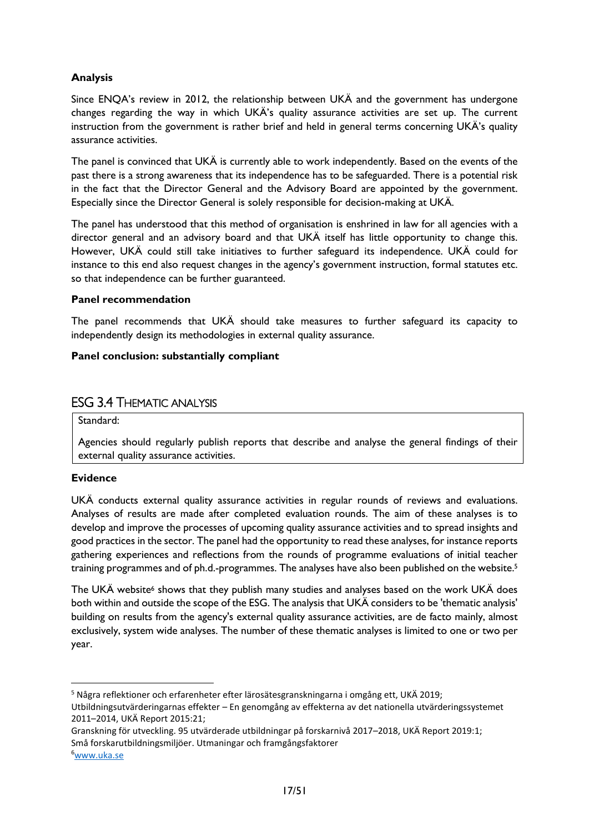### **Analysis**

Since ENQA's review in 2012, the relationship between UKÄ and the government has undergone changes regarding the way in which UKÄ's quality assurance activities are set up. The current instruction from the government is rather brief and held in general terms concerning UKÄ's quality assurance activities.

The panel is convinced that UKÄ is currently able to work independently. Based on the events of the past there is a strong awareness that its independence has to be safeguarded. There is a potential risk in the fact that the Director General and the Advisory Board are appointed by the government. Especially since the Director General is solely responsible for decision-making at UKÄ.

The panel has understood that this method of organisation is enshrined in law for all agencies with a director general and an advisory board and that UKÄ itself has little opportunity to change this. However, UKÄ could still take initiatives to further safeguard its independence. UKÄ could for instance to this end also request changes in the agency's government instruction, formal statutes etc. so that independence can be further guaranteed.

#### **Panel recommendation**

The panel recommends that UKÄ should take measures to further safeguard its capacity to independently design its methodologies in external quality assurance.

#### **Panel conclusion: substantially compliant**

# <span id="page-17-0"></span>ESG 3.4 THEMATIC ANALYSIS

Standard:

Agencies should regularly publish reports that describe and analyse the general findings of their external quality assurance activities.

#### **Evidence**

UKÄ conducts external quality assurance activities in regular rounds of reviews and evaluations. Analyses of results are made after completed evaluation rounds. The aim of these analyses is to develop and improve the processes of upcoming quality assurance activities and to spread insights and good practices in the sector. The panel had the opportunity to read these analyses, for instance reports gathering experiences and reflections from the rounds of programme evaluations of initial teacher training programmes and of ph.d.-programmes. The analyses have also been published on the website.<sup>5</sup>

The UKA website fshows that they publish many studies and analyses based on the work UKA does both within and outside the scope of the ESG. The analysis that UKÄ considers to be 'thematic analysis' building on results from the agency's external quality assurance activities, are de facto mainly, almost exclusively, system wide analyses. The number of these thematic analyses is limited to one or two per year.

<sup>5</sup> Några reflektioner och erfarenheter efter lärosätesgranskningarna i omgång ett, UKÄ 2019;

Utbildningsutvärderingarnas effekter – En genomgång av effekterna av det nationella utvärderingssystemet 2011–2014, UKÄ Report 2015:21;

Granskning för utveckling. 95 utvärderade utbildningar på forskarnivå 2017–2018, UKÄ Report 2019:1; Små forskarutbildningsmiljöer. Utmaningar och framgångsfaktorer

<sup>6</sup>[www.uka.se](http://www.uka.se/)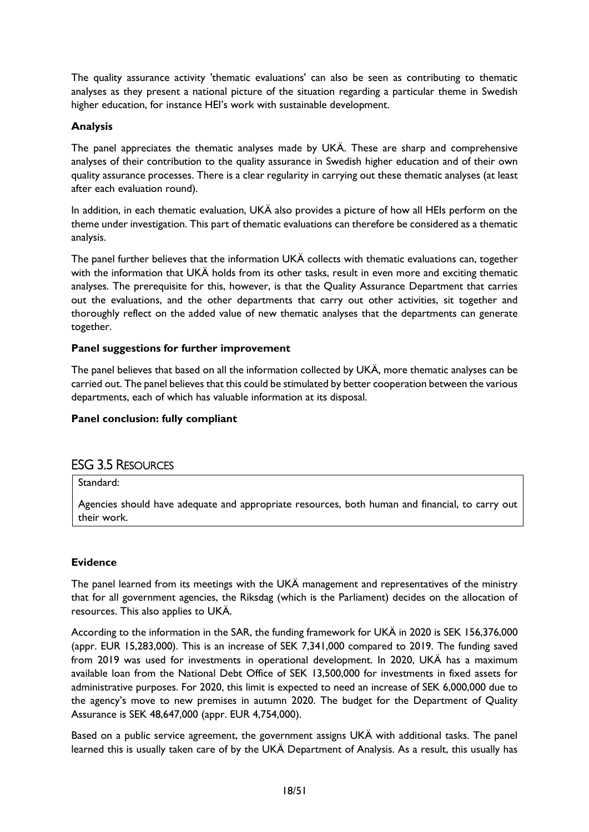The quality assurance activity 'thematic evaluations' can also be seen as contributing to thematic analyses as they present a national picture of the situation regarding a particular theme in Swedish higher education, for instance HEI's work with sustainable development.

#### **Analysis**

The panel appreciates the thematic analyses made by UKÄ. These are sharp and comprehensive analyses of their contribution to the quality assurance in Swedish higher education and of their own quality assurance processes. There is a clear regularity in carrying out these thematic analyses (at least after each evaluation round).

In addition, in each thematic evaluation, UKÄ also provides a picture of how all HEIs perform on the theme under investigation. This part of thematic evaluations can therefore be considered as a thematic analysis.

The panel further believes that the information UKÄ collects with thematic evaluations can, together with the information that UKA holds from its other tasks, result in even more and exciting thematic analyses. The prerequisite for this, however, is that the Quality Assurance Department that carries out the evaluations, and the other departments that carry out other activities, sit together and thoroughly reflect on the added value of new thematic analyses that the departments can generate together.

#### **Panel suggestions for further improvement**

The panel believes that based on all the information collected by UKÄ, more thematic analyses can be carried out. The panel believes that this could be stimulated by better cooperation between the various departments, each of which has valuable information at its disposal.

#### **Panel conclusion: fully compliant**

# <span id="page-18-0"></span>ESG 3.5 RESOURCES

### Standard:

Agencies should have adequate and appropriate resources, both human and financial, to carry out their work.

#### **Evidence**

The panel learned from its meetings with the UKÄ management and representatives of the ministry that for all government agencies, the Riksdag (which is the Parliament) decides on the allocation of resources. This also applies to UKÄ.

According to the information in the SAR, the funding framework for UKÄ in 2020 is SEK 156,376,000 (appr. EUR 15,283,000). This is an increase of SEK 7,341,000 compared to 2019. The funding saved from 2019 was used for investments in operational development. In 2020, UKÄ has a maximum available loan from the National Debt Office of SEK 13,500,000 for investments in fixed assets for administrative purposes. For 2020, this limit is expected to need an increase of SEK 6,000,000 due to the agency's move to new premises in autumn 2020. The budget for the Department of Quality Assurance is SEK 48,647,000 (appr. EUR 4,754,000).

Based on a public service agreement, the government assigns UKÄ with additional tasks. The panel learned this is usually taken care of by the UKÄ Department of Analysis. As a result, this usually has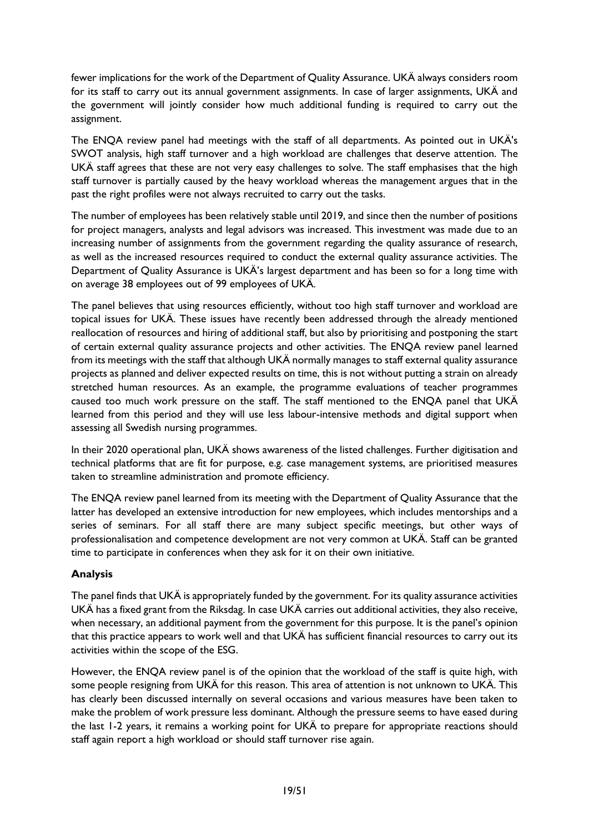fewer implications for the work of the Department of Quality Assurance. UKÄ always considers room for its staff to carry out its annual government assignments. In case of larger assignments, UKÄ and the government will jointly consider how much additional funding is required to carry out the assignment.

The ENQA review panel had meetings with the staff of all departments. As pointed out in UKÄ's SWOT analysis, high staff turnover and a high workload are challenges that deserve attention. The UKÄ staff agrees that these are not very easy challenges to solve. The staff emphasises that the high staff turnover is partially caused by the heavy workload whereas the management argues that in the past the right profiles were not always recruited to carry out the tasks.

The number of employees has been relatively stable until 2019, and since then the number of positions for project managers, analysts and legal advisors was increased. This investment was made due to an increasing number of assignments from the government regarding the quality assurance of research, as well as the increased resources required to conduct the external quality assurance activities. The Department of Quality Assurance is UKÄ's largest department and has been so for a long time with on average 38 employees out of 99 employees of UKÄ.

The panel believes that using resources efficiently, without too high staff turnover and workload are topical issues for UKÄ. These issues have recently been addressed through the already mentioned reallocation of resources and hiring of additional staff, but also by prioritising and postponing the start of certain external quality assurance projects and other activities. The ENQA review panel learned from its meetings with the staff that although UKÄ normally manages to staff external quality assurance projects as planned and deliver expected results on time, this is not without putting a strain on already stretched human resources. As an example, the programme evaluations of teacher programmes caused too much work pressure on the staff. The staff mentioned to the ENQA panel that UKÄ learned from this period and they will use less labour-intensive methods and digital support when assessing all Swedish nursing programmes.

In their 2020 operational plan, UKÄ shows awareness of the listed challenges. Further digitisation and technical platforms that are fit for purpose, e.g. case management systems, are prioritised measures taken to streamline administration and promote efficiency.

The ENQA review panel learned from its meeting with the Department of Quality Assurance that the latter has developed an extensive introduction for new employees, which includes mentorships and a series of seminars. For all staff there are many subject specific meetings, but other ways of professionalisation and competence development are not very common at UKÄ. Staff can be granted time to participate in conferences when they ask for it on their own initiative.

# **Analysis**

The panel finds that UKÄ is appropriately funded by the government. For its quality assurance activities UKÄ has a fixed grant from the Riksdag. In case UKÄ carries out additional activities, they also receive, when necessary, an additional payment from the government for this purpose. It is the panel's opinion that this practice appears to work well and that UKÄ has sufficient financial resources to carry out its activities within the scope of the ESG.

However, the ENQA review panel is of the opinion that the workload of the staff is quite high, with some people resigning from UKÄ for this reason. This area of attention is not unknown to UKÄ. This has clearly been discussed internally on several occasions and various measures have been taken to make the problem of work pressure less dominant. Although the pressure seems to have eased during the last 1-2 years, it remains a working point for UKÄ to prepare for appropriate reactions should staff again report a high workload or should staff turnover rise again.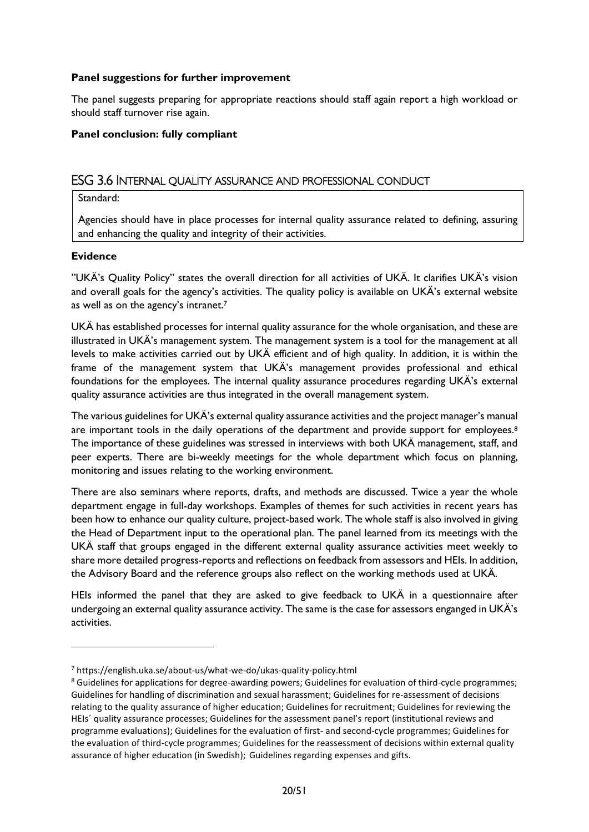#### **Panel suggestions for further improvement**

The panel suggests preparing for appropriate reactions should staff again report a high workload or should staff turnover rise again.

#### **Panel conclusion: fully compliant**

#### <span id="page-20-0"></span>ESG 3.6 INTERNAL QUALITY ASSURANCE AND PROFESSIONAL CONDUCT

#### Standard:

Agencies should have in place processes for internal quality assurance related to defining, assuring and enhancing the quality and integrity of their activities.

#### **Evidence**

"UKÄ's Quality Policy" states the overall direction for all activities of UKÄ. It clarifies UKÄ's vision and overall goals for the agency's activities. The quality policy is available on UKÄ's external website as well as on the agency's intranet.<sup>7</sup>

UKÄ has established processes for internal quality assurance for the whole organisation, and these are illustrated in UKÄ's management system. The management system is a tool for the management at all levels to make activities carried out by UKÄ efficient and of high quality. In addition, it is within the frame of the management system that UKÄ's management provides professional and ethical foundations for the employees. The internal quality assurance procedures regarding UKÄ's external quality assurance activities are thus integrated in the overall management system.

The various guidelines for UKÄ's external quality assurance activities and the project manager's manual are important tools in the daily operations of the department and provide support for employees.<sup>8</sup> The importance of these guidelines was stressed in interviews with both UKÄ management, staff, and peer experts. There are bi-weekly meetings for the whole department which focus on planning, monitoring and issues relating to the working environment.

There are also seminars where reports, drafts, and methods are discussed. Twice a year the whole department engage in full-day workshops. Examples of themes for such activities in recent years has been how to enhance our quality culture, project-based work. The whole staff is also involved in giving the Head of Department input to the operational plan. The panel learned from its meetings with the UKÄ staff that groups engaged in the different external quality assurance activities meet weekly to share more detailed progress-reports and reflections on feedback from assessors and HEIs. In addition, the Advisory Board and the reference groups also reflect on the working methods used at UKÄ.

HEIs informed the panel that they are asked to give feedback to UKÄ in a questionnaire after undergoing an external quality assurance activity. The same is the case for assessors enganged in UKÄ's activities.

<sup>7</sup> https://english.uka.se/about-us/what-we-do/ukas-quality-policy.html

<sup>&</sup>lt;sup>8</sup> Guidelines for applications for degree-awarding powers; Guidelines for evaluation of third-cycle programmes; Guidelines for handling of discrimination and sexual harassment; Guidelines for re-assessment of decisions relating to the quality assurance of higher education; Guidelines for recruitment; Guidelines for reviewing the HEIs´ quality assurance processes; Guidelines for the assessment panel's report (institutional reviews and programme evaluations); Guidelines for the evaluation of first- and second-cycle programmes; Guidelines for the evaluation of third-cycle programmes; Guidelines for the reassessment of decisions within external quality assurance of higher education (in Swedish); Guidelines regarding expenses and gifts.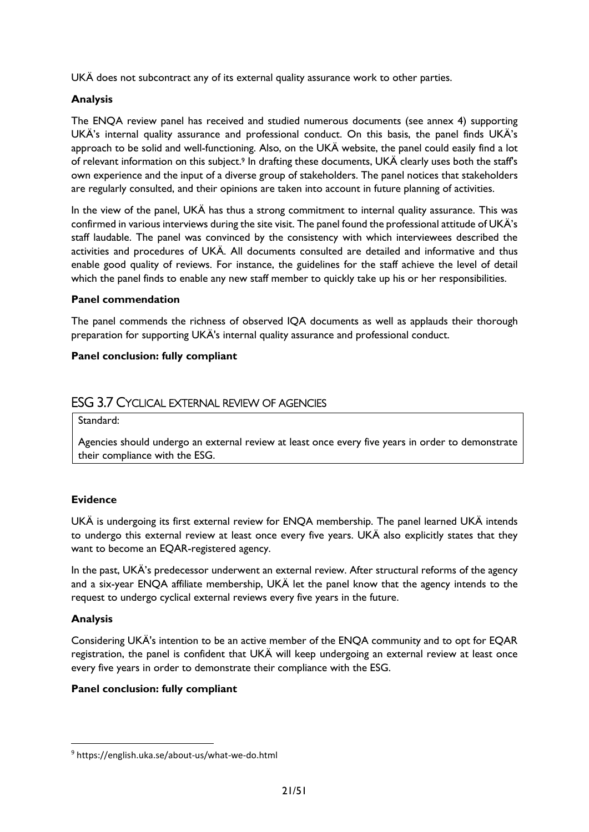UKÄ does not subcontract any of its external quality assurance work to other parties.

#### **Analysis**

The ENQA review panel has received and studied numerous documents (see annex 4) supporting UKÄ's internal quality assurance and professional conduct. On this basis, the panel finds UKÄ's approach to be solid and well-functioning. Also, on the UKÄ website, the panel could easily find a lot of relevant information on this subject.<sup>9</sup> In drafting these documents, UKÄ clearly uses both the staff's own experience and the input of a diverse group of stakeholders. The panel notices that stakeholders are regularly consulted, and their opinions are taken into account in future planning of activities.

In the view of the panel, UKÄ has thus a strong commitment to internal quality assurance. This was confirmed in various interviews during the site visit. The panel found the professional attitude of UKÄ's staff laudable. The panel was convinced by the consistency with which interviewees described the activities and procedures of UKÄ. All documents consulted are detailed and informative and thus enable good quality of reviews. For instance, the guidelines for the staff achieve the level of detail which the panel finds to enable any new staff member to quickly take up his or her responsibilities.

#### **Panel commendation**

The panel commends the richness of observed IQA documents as well as applauds their thorough preparation for supporting UKÄ's internal quality assurance and professional conduct.

#### **Panel conclusion: fully compliant**

# <span id="page-21-0"></span>ESG 3.7 CYCLICAL EXTERNAL REVIEW OF AGENCIES

Standard:

Agencies should undergo an external review at least once every five years in order to demonstrate their compliance with the ESG.

#### **Evidence**

UKÄ is undergoing its first external review for ENQA membership. The panel learned UKÄ intends to undergo this external review at least once every five years. UKÄ also explicitly states that they want to become an EQAR-registered agency.

In the past, UKÄ's predecessor underwent an external review. After structural reforms of the agency and a six-year ENQA affiliate membership, UKÄ let the panel know that the agency intends to the request to undergo cyclical external reviews every five years in the future.

#### **Analysis**

Considering UKÄ's intention to be an active member of the ENQA community and to opt for EQAR registration, the panel is confident that UKÄ will keep undergoing an external review at least once every five years in order to demonstrate their compliance with the ESG.

#### **Panel conclusion: fully compliant**

<sup>9</sup> https://english.uka.se/about-us/what-we-do.html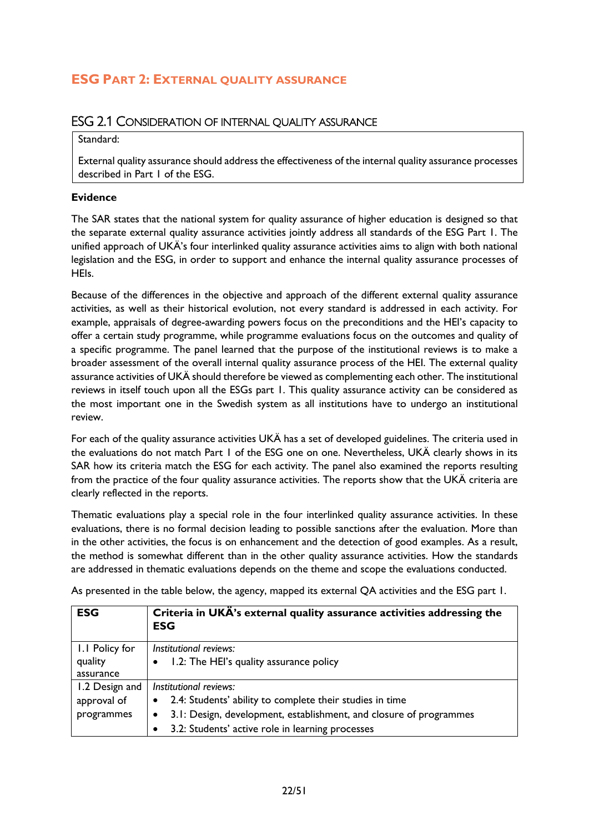# <span id="page-22-1"></span><span id="page-22-0"></span>**ESG PART 2: EXTERNAL QUALITY ASSURANCE**

# ESG 2.1 CONSIDERATION OF INTERNAL QUALITY ASSURANCE

#### Standard:

External quality assurance should address the effectiveness of the internal quality assurance processes described in Part 1 of the ESG.

#### **Evidence**

The SAR states that the national system for quality assurance of higher education is designed so that the separate external quality assurance activities jointly address all standards of the ESG Part 1. The unified approach of UKÄ's four interlinked quality assurance activities aims to align with both national legislation and the ESG, in order to support and enhance the internal quality assurance processes of HEIs.

Because of the differences in the objective and approach of the different external quality assurance activities, as well as their historical evolution, not every standard is addressed in each activity. For example, appraisals of degree-awarding powers focus on the preconditions and the HEI's capacity to offer a certain study programme, while programme evaluations focus on the outcomes and quality of a specific programme. The panel learned that the purpose of the institutional reviews is to make a broader assessment of the overall internal quality assurance process of the HEI. The external quality assurance activities of UKÄ should therefore be viewed as complementing each other. The institutional reviews in itself touch upon all the ESGs part 1. This quality assurance activity can be considered as the most important one in the Swedish system as all institutions have to undergo an institutional review.

For each of the quality assurance activities UKÄ has a set of developed guidelines. The criteria used in the evaluations do not match Part 1 of the ESG one on one. Nevertheless, UKÄ clearly shows in its SAR how its criteria match the ESG for each activity. The panel also examined the reports resulting from the practice of the four quality assurance activities. The reports show that the UKÄ criteria are clearly reflected in the reports.

Thematic evaluations play a special role in the four interlinked quality assurance activities. In these evaluations, there is no formal decision leading to possible sanctions after the evaluation. More than in the other activities, the focus is on enhancement and the detection of good examples. As a result, the method is somewhat different than in the other quality assurance activities. How the standards are addressed in thematic evaluations depends on the theme and scope the evaluations conducted.

As presented in the table below, the agency, mapped its external QA activities and the ESG part 1.

| <b>ESG</b>     | Criteria in UKÄ's external quality assurance activities addressing the<br><b>ESG</b> |  |
|----------------|--------------------------------------------------------------------------------------|--|
| I.I Policy for | Institutional reviews:                                                               |  |
| quality        | 1.2: The HEI's quality assurance policy<br>$\bullet$                                 |  |
| assurance      |                                                                                      |  |
| 1.2 Design and | Institutional reviews:                                                               |  |
| approval of    | 2.4: Students' ability to complete their studies in time<br>$\bullet$                |  |
| programmes     | 3.1: Design, development, establishment, and closure of programmes<br>$\bullet$      |  |
|                | 3.2: Students' active role in learning processes<br>٠                                |  |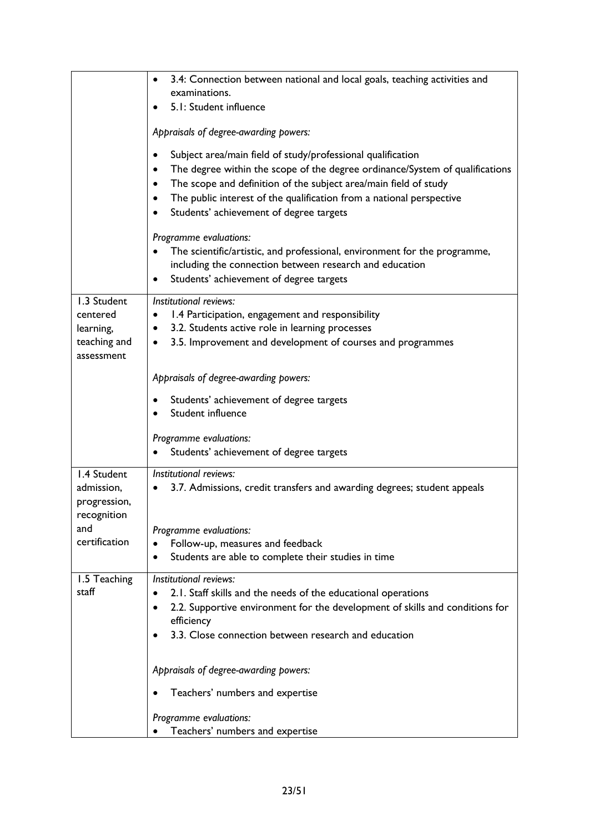|                                                          | 3.4: Connection between national and local goals, teaching activities and<br>$\bullet$<br>examinations.                                                                                                                                                                                                                                                                                |  |  |
|----------------------------------------------------------|----------------------------------------------------------------------------------------------------------------------------------------------------------------------------------------------------------------------------------------------------------------------------------------------------------------------------------------------------------------------------------------|--|--|
|                                                          | 5.1: Student influence<br>$\bullet$                                                                                                                                                                                                                                                                                                                                                    |  |  |
|                                                          | Appraisals of degree-awarding powers:                                                                                                                                                                                                                                                                                                                                                  |  |  |
|                                                          | Subject area/main field of study/professional qualification<br>$\bullet$<br>The degree within the scope of the degree ordinance/System of qualifications<br>$\bullet$<br>The scope and definition of the subject area/main field of study<br>$\bullet$<br>The public interest of the qualification from a national perspective<br>$\bullet$<br>Students' achievement of degree targets |  |  |
|                                                          | Programme evaluations:<br>The scientific/artistic, and professional, environment for the programme,<br>including the connection between research and education<br>Students' achievement of degree targets<br>$\bullet$                                                                                                                                                                 |  |  |
| 1.3 Student<br>centered<br>learning,                     | Institutional reviews:<br>1.4 Participation, engagement and responsibility<br>٠<br>3.2. Students active role in learning processes<br>٠                                                                                                                                                                                                                                                |  |  |
| teaching and<br>assessment                               | 3.5. Improvement and development of courses and programmes<br>$\bullet$                                                                                                                                                                                                                                                                                                                |  |  |
|                                                          | Appraisals of degree-awarding powers:                                                                                                                                                                                                                                                                                                                                                  |  |  |
|                                                          | Students' achievement of degree targets<br>Student influence                                                                                                                                                                                                                                                                                                                           |  |  |
|                                                          | Programme evaluations:<br>Students' achievement of degree targets                                                                                                                                                                                                                                                                                                                      |  |  |
| 1.4 Student<br>admission,<br>progression,<br>recognition | Institutional reviews:<br>3.7. Admissions, credit transfers and awarding degrees; student appeals<br>٠                                                                                                                                                                                                                                                                                 |  |  |
| and<br>certification                                     | Programme evaluations:                                                                                                                                                                                                                                                                                                                                                                 |  |  |
|                                                          | Follow-up, measures and feedback<br>Students are able to complete their studies in time<br>$\bullet$                                                                                                                                                                                                                                                                                   |  |  |
| 1.5 Teaching<br>staff                                    | Institutional reviews:<br>2.1. Staff skills and the needs of the educational operations<br>2.2. Supportive environment for the development of skills and conditions for<br>$\bullet$<br>efficiency<br>3.3. Close connection between research and education                                                                                                                             |  |  |
|                                                          | Appraisals of degree-awarding powers:                                                                                                                                                                                                                                                                                                                                                  |  |  |
|                                                          | Teachers' numbers and expertise                                                                                                                                                                                                                                                                                                                                                        |  |  |
|                                                          | Programme evaluations:                                                                                                                                                                                                                                                                                                                                                                 |  |  |
|                                                          | Teachers' numbers and expertise                                                                                                                                                                                                                                                                                                                                                        |  |  |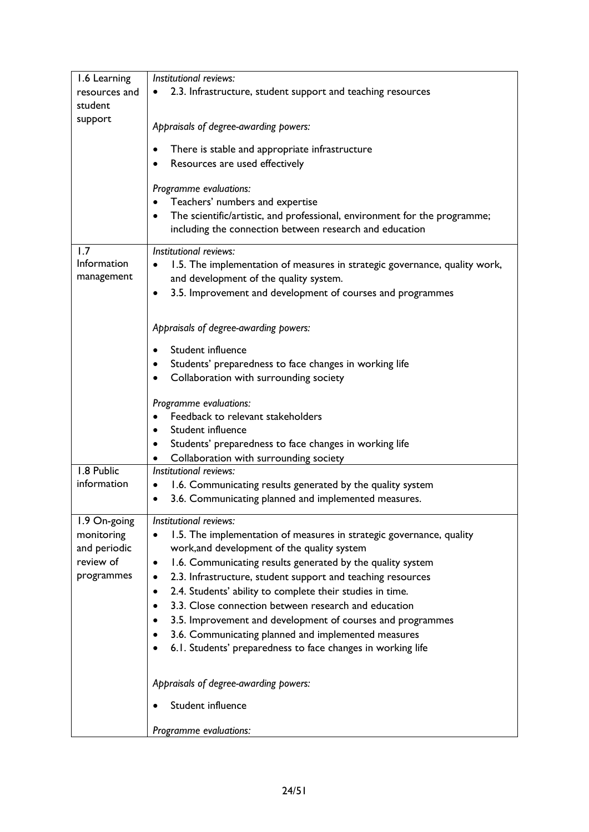| 1.6 Learning                                                | Institutional reviews:                                                                                                         |  |  |  |
|-------------------------------------------------------------|--------------------------------------------------------------------------------------------------------------------------------|--|--|--|
| resources and<br>student                                    | 2.3. Infrastructure, student support and teaching resources                                                                    |  |  |  |
| support                                                     |                                                                                                                                |  |  |  |
|                                                             | Appraisals of degree-awarding powers:                                                                                          |  |  |  |
|                                                             | There is stable and appropriate infrastructure                                                                                 |  |  |  |
|                                                             | Resources are used effectively                                                                                                 |  |  |  |
|                                                             | Programme evaluations:                                                                                                         |  |  |  |
|                                                             | Teachers' numbers and expertise                                                                                                |  |  |  |
|                                                             | The scientific/artistic, and professional, environment for the programme;<br>$\bullet$                                         |  |  |  |
|                                                             | including the connection between research and education                                                                        |  |  |  |
| 1.7                                                         | Institutional reviews:                                                                                                         |  |  |  |
| Information                                                 | 1.5. The implementation of measures in strategic governance, quality work,                                                     |  |  |  |
| management                                                  | and development of the quality system.                                                                                         |  |  |  |
|                                                             | 3.5. Improvement and development of courses and programmes<br>$\bullet$                                                        |  |  |  |
|                                                             |                                                                                                                                |  |  |  |
|                                                             | Appraisals of degree-awarding powers:                                                                                          |  |  |  |
|                                                             | Student influence                                                                                                              |  |  |  |
|                                                             | Students' preparedness to face changes in working life                                                                         |  |  |  |
|                                                             | Collaboration with surrounding society                                                                                         |  |  |  |
|                                                             | Programme evaluations:                                                                                                         |  |  |  |
|                                                             | Feedback to relevant stakeholders                                                                                              |  |  |  |
|                                                             | Student influence                                                                                                              |  |  |  |
|                                                             | Students' preparedness to face changes in working life<br>Collaboration with surrounding society                               |  |  |  |
| 1.8 Public                                                  | Institutional reviews:                                                                                                         |  |  |  |
| information                                                 | 1.6. Communicating results generated by the quality system                                                                     |  |  |  |
|                                                             | 3.6. Communicating planned and implemented measures.<br>٠                                                                      |  |  |  |
| 1.9 On-going                                                | Institutional reviews:                                                                                                         |  |  |  |
| monitoring                                                  | 1.5. The implementation of measures in strategic governance, quality                                                           |  |  |  |
| work, and development of the quality system<br>and periodic |                                                                                                                                |  |  |  |
| review of<br>programmes                                     | 1.6. Communicating results generated by the quality system<br>2.3. Infrastructure, student support and teaching resources<br>٠ |  |  |  |
|                                                             | 2.4. Students' ability to complete their studies in time.                                                                      |  |  |  |
|                                                             | 3.3. Close connection between research and education                                                                           |  |  |  |
|                                                             | 3.5. Improvement and development of courses and programmes                                                                     |  |  |  |
|                                                             | 3.6. Communicating planned and implemented measures                                                                            |  |  |  |
|                                                             | 6.1. Students' preparedness to face changes in working life                                                                    |  |  |  |
|                                                             |                                                                                                                                |  |  |  |
|                                                             | Appraisals of degree-awarding powers:                                                                                          |  |  |  |
|                                                             | Student influence                                                                                                              |  |  |  |
|                                                             | Programme evaluations:                                                                                                         |  |  |  |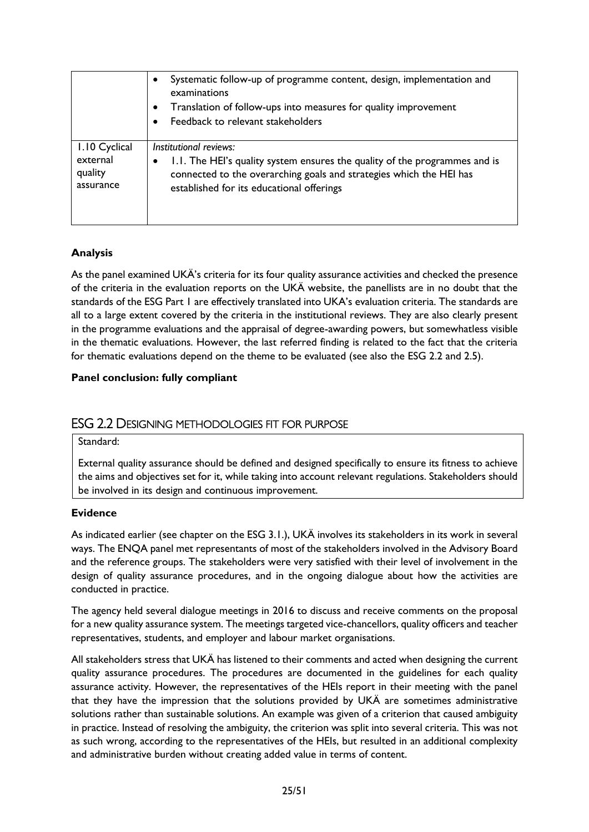|               | Systematic follow-up of programme content, design, implementation and<br>examinations<br>Translation of follow-ups into measures for quality improvement<br>Feedback to relevant stakeholders |
|---------------|-----------------------------------------------------------------------------------------------------------------------------------------------------------------------------------------------|
| 1.10 Cyclical | Institutional reviews:                                                                                                                                                                        |
| external      | 1.1. The HEI's quality system ensures the quality of the programmes and is                                                                                                                    |
| quality       | connected to the overarching goals and strategies which the HEI has                                                                                                                           |
| assurance     | established for its educational offerings                                                                                                                                                     |

# **Analysis**

As the panel examined UKÄ's criteria for its four quality assurance activities and checked the presence of the criteria in the evaluation reports on the UKÄ website, the panellists are in no doubt that the standards of the ESG Part 1 are effectively translated into UKA's evaluation criteria. The standards are all to a large extent covered by the criteria in the institutional reviews. They are also clearly present in the programme evaluations and the appraisal of degree-awarding powers, but somewhatless visible in the thematic evaluations. However, the last referred finding is related to the fact that the criteria for thematic evaluations depend on the theme to be evaluated (see also the ESG 2.2 and 2.5).

#### **Panel conclusion: fully compliant**

# <span id="page-25-0"></span>ESG 2.2 DESIGNING METHODOLOGIES FIT FOR PURPOSE

#### Standard:

External quality assurance should be defined and designed specifically to ensure its fitness to achieve the aims and objectives set for it, while taking into account relevant regulations. Stakeholders should be involved in its design and continuous improvement.

#### **Evidence**

As indicated earlier (see chapter on the ESG 3.1.), UKÄ involves its stakeholders in its work in several ways. The ENQA panel met representants of most of the stakeholders involved in the Advisory Board and the reference groups. The stakeholders were very satisfied with their level of involvement in the design of quality assurance procedures, and in the ongoing dialogue about how the activities are conducted in practice.

The agency held several dialogue meetings in 2016 to discuss and receive comments on the proposal for a new quality assurance system. The meetings targeted vice-chancellors, quality officers and teacher representatives, students, and employer and labour market organisations.

All stakeholders stress that UKÄ has listened to their comments and acted when designing the current quality assurance procedures. The procedures are documented in the guidelines for each quality assurance activity. However, the representatives of the HEIs report in their meeting with the panel that they have the impression that the solutions provided by UKÄ are sometimes administrative solutions rather than sustainable solutions. An example was given of a criterion that caused ambiguity in practice. Instead of resolving the ambiguity, the criterion was split into several criteria. This was not as such wrong, according to the representatives of the HEIs, but resulted in an additional complexity and administrative burden without creating added value in terms of content.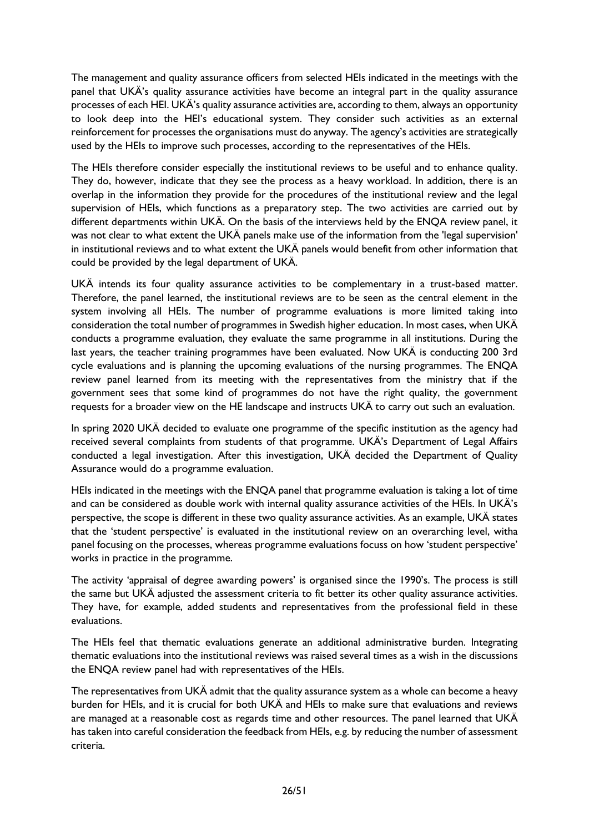The management and quality assurance officers from selected HEIs indicated in the meetings with the panel that UKÄ's quality assurance activities have become an integral part in the quality assurance processes of each HEI. UKÄ's quality assurance activities are, according to them, always an opportunity to look deep into the HEI's educational system. They consider such activities as an external reinforcement for processes the organisations must do anyway. The agency's activities are strategically used by the HEIs to improve such processes, according to the representatives of the HEIs.

The HEIs therefore consider especially the institutional reviews to be useful and to enhance quality. They do, however, indicate that they see the process as a heavy workload. In addition, there is an overlap in the information they provide for the procedures of the institutional review and the legal supervision of HEIs, which functions as a preparatory step. The two activities are carried out by different departments within UKÄ. On the basis of the interviews held by the ENQA review panel, it was not clear to what extent the UKÄ panels make use of the information from the 'legal supervision' in institutional reviews and to what extent the UKÄ panels would benefit from other information that could be provided by the legal department of UKÄ.

UKÄ intends its four quality assurance activities to be complementary in a trust-based matter. Therefore, the panel learned, the institutional reviews are to be seen as the central element in the system involving all HEIs. The number of programme evaluations is more limited taking into consideration the total number of programmes in Swedish higher education. In most cases, when UKÄ conducts a programme evaluation, they evaluate the same programme in all institutions. During the last years, the teacher training programmes have been evaluated. Now UKÄ is conducting 200 3rd cycle evaluations and is planning the upcoming evaluations of the nursing programmes. The ENQA review panel learned from its meeting with the representatives from the ministry that if the government sees that some kind of programmes do not have the right quality, the government requests for a broader view on the HE landscape and instructs UKÄ to carry out such an evaluation.

In spring 2020 UKÄ decided to evaluate one programme of the specific institution as the agency had received several complaints from students of that programme. UKÄ's Department of Legal Affairs conducted a legal investigation. After this investigation, UKÄ decided the Department of Quality Assurance would do a programme evaluation.

HEIs indicated in the meetings with the ENQA panel that programme evaluation is taking a lot of time and can be considered as double work with internal quality assurance activities of the HEIs. In UKÄ's perspective, the scope is different in these two quality assurance activities. As an example, UKÄ states that the 'student perspective' is evaluated in the institutional review on an overarching level, witha panel focusing on the processes, whereas programme evaluations focuss on how 'student perspective' works in practice in the programme.

The activity 'appraisal of degree awarding powers' is organised since the 1990's. The process is still the same but UKÄ adjusted the assessment criteria to fit better its other quality assurance activities. They have, for example, added students and representatives from the professional field in these evaluations.

The HEIs feel that thematic evaluations generate an additional administrative burden. Integrating thematic evaluations into the institutional reviews was raised several times as a wish in the discussions the ENQA review panel had with representatives of the HEIs.

The representatives from UKÄ admit that the quality assurance system as a whole can become a heavy burden for HEIs, and it is crucial for both UKÄ and HEIs to make sure that evaluations and reviews are managed at a reasonable cost as regards time and other resources. The panel learned that UKÄ has taken into careful consideration the feedback from HEIs, e.g. by reducing the number of assessment criteria.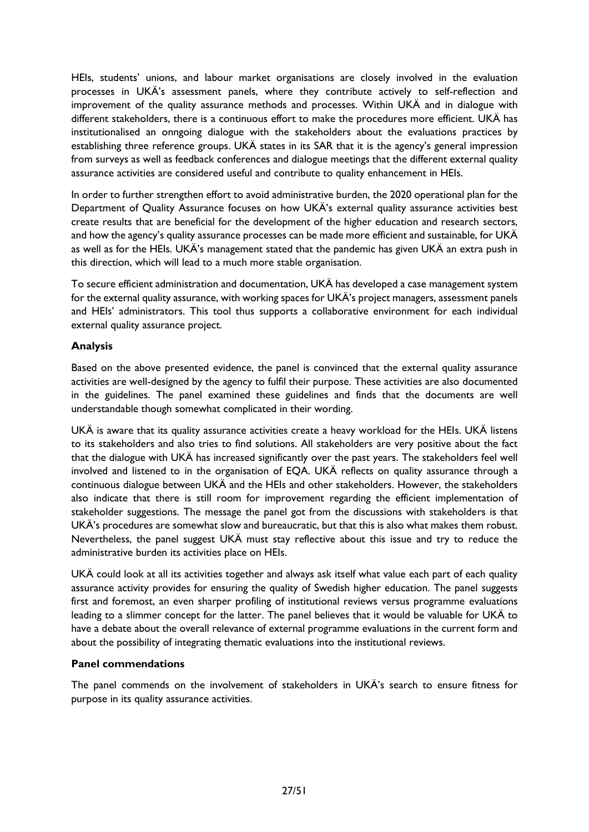HEIs, students' unions, and labour market organisations are closely involved in the evaluation processes in UKÄ's assessment panels, where they contribute actively to self-reflection and improvement of the quality assurance methods and processes. Within UKÄ and in dialogue with different stakeholders, there is a continuous effort to make the procedures more efficient. UKÄ has institutionalised an onngoing dialogue with the stakeholders about the evaluations practices by establishing three reference groups. UKÄ states in its SAR that it is the agency's general impression from surveys as well as feedback conferences and dialogue meetings that the different external quality assurance activities are considered useful and contribute to quality enhancement in HEIs.

In order to further strengthen effort to avoid administrative burden, the 2020 operational plan for the Department of Quality Assurance focuses on how UKÄ's external quality assurance activities best create results that are beneficial for the development of the higher education and research sectors, and how the agency's quality assurance processes can be made more efficient and sustainable, for UKÄ as well as for the HEIs. UKÄ's management stated that the pandemic has given UKÄ an extra push in this direction, which will lead to a much more stable organisation.

To secure efficient administration and documentation, UKÄ has developed a case management system for the external quality assurance, with working spaces for UKÄ's project managers, assessment panels and HEIs' administrators. This tool thus supports a collaborative environment for each individual external quality assurance project.

#### **Analysis**

Based on the above presented evidence, the panel is convinced that the external quality assurance activities are well-designed by the agency to fulfil their purpose. These activities are also documented in the guidelines. The panel examined these guidelines and finds that the documents are well understandable though somewhat complicated in their wording.

UKÄ is aware that its quality assurance activities create a heavy workload for the HEIs. UKÄ listens to its stakeholders and also tries to find solutions. All stakeholders are very positive about the fact that the dialogue with UKÄ has increased significantly over the past years. The stakeholders feel well involved and listened to in the organisation of EQA. UKÄ reflects on quality assurance through a continuous dialogue between UKÄ and the HEIs and other stakeholders. However, the stakeholders also indicate that there is still room for improvement regarding the efficient implementation of stakeholder suggestions. The message the panel got from the discussions with stakeholders is that UKÄ's procedures are somewhat slow and bureaucratic, but that this is also what makes them robust. Nevertheless, the panel suggest UKÄ must stay reflective about this issue and try to reduce the administrative burden its activities place on HEIs.

UKÄ could look at all its activities together and always ask itself what value each part of each quality assurance activity provides for ensuring the quality of Swedish higher education. The panel suggests first and foremost, an even sharper profiling of institutional reviews versus programme evaluations leading to a slimmer concept for the latter. The panel believes that it would be valuable for UKÄ to have a debate about the overall relevance of external programme evaluations in the current form and about the possibility of integrating thematic evaluations into the institutional reviews.

#### **Panel commendations**

The panel commends on the involvement of stakeholders in UKÄ's search to ensure fitness for purpose in its quality assurance activities.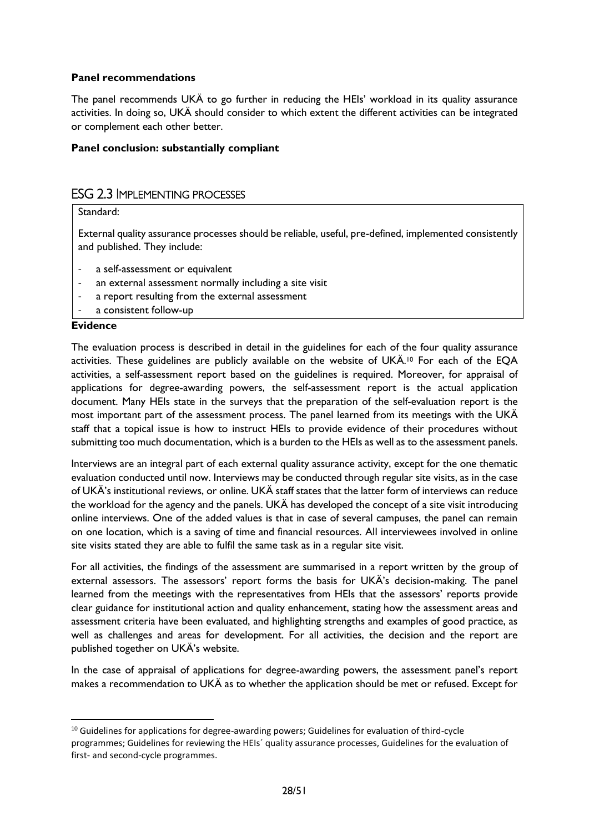#### **Panel recommendations**

The panel recommends UKÄ to go further in reducing the HEIs' workload in its quality assurance activities. In doing so, UKÄ should consider to which extent the different activities can be integrated or complement each other better.

#### **Panel conclusion: substantially compliant**

# <span id="page-28-0"></span>ESG 2.3 IMPLEMENTING PROCESSES

#### Standard:

External quality assurance processes should be reliable, useful, pre-defined, implemented consistently and published. They include:

- a self-assessment or equivalent
- an external assessment normally including a site visit
- a report resulting from the external assessment
- a consistent follow-up

#### **Evidence**

The evaluation process is described in detail in the guidelines for each of the four quality assurance activities. These guidelines are publicly available on the website of UKÄ. <sup>10</sup> For each of the EQA activities, a self-assessment report based on the guidelines is required. Moreover, for appraisal of applications for degree-awarding powers, the self-assessment report is the actual application document. Many HEIs state in the surveys that the preparation of the self-evaluation report is the most important part of the assessment process. The panel learned from its meetings with the UKÄ staff that a topical issue is how to instruct HEIs to provide evidence of their procedures without submitting too much documentation, which is a burden to the HEIs as well as to the assessment panels.

Interviews are an integral part of each external quality assurance activity, except for the one thematic evaluation conducted until now. Interviews may be conducted through regular site visits, as in the case of UKÄ's institutional reviews, or online. UKÄ staff states that the latter form of interviews can reduce the workload for the agency and the panels. UKÄ has developed the concept of a site visit introducing online interviews. One of the added values is that in case of several campuses, the panel can remain on one location, which is a saving of time and financial resources. All interviewees involved in online site visits stated they are able to fulfil the same task as in a regular site visit.

For all activities, the findings of the assessment are summarised in a report written by the group of external assessors. The assessors' report forms the basis for UKÄ's decision-making. The panel learned from the meetings with the representatives from HEIs that the assessors' reports provide clear guidance for institutional action and quality enhancement, stating how the assessment areas and assessment criteria have been evaluated, and highlighting strengths and examples of good practice, as well as challenges and areas for development. For all activities, the decision and the report are published together on UKÄ's website.

In the case of appraisal of applications for degree-awarding powers, the assessment panel's report makes a recommendation to UKÄ as to whether the application should be met or refused. Except for

<sup>&</sup>lt;sup>10</sup> Guidelines for applications for degree-awarding powers; Guidelines for evaluation of third-cycle programmes; Guidelines for reviewing the HEIs´ quality assurance processes, Guidelines for the evaluation of first- and second-cycle programmes.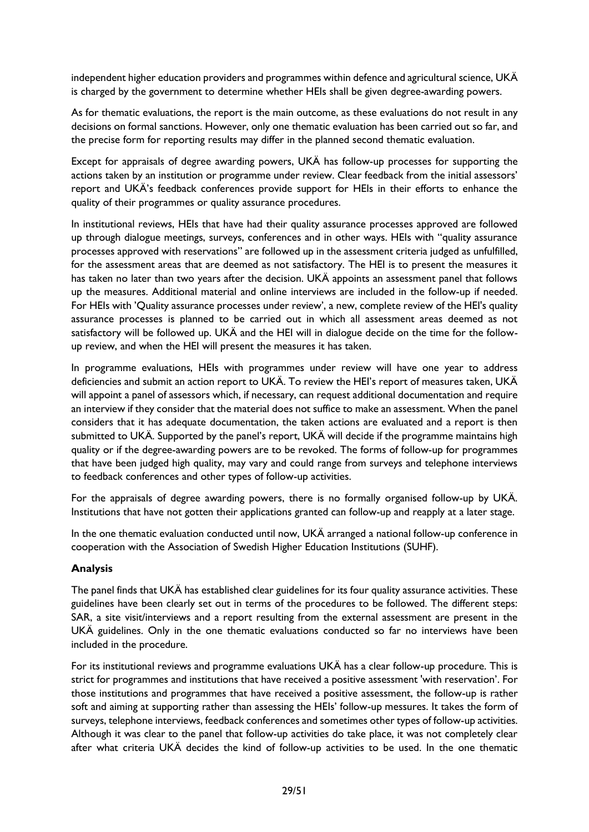independent higher education providers and programmes within defence and agricultural science, UKÄ is charged by the government to determine whether HEIs shall be given degree-awarding powers.

As for thematic evaluations, the report is the main outcome, as these evaluations do not result in any decisions on formal sanctions. However, only one thematic evaluation has been carried out so far, and the precise form for reporting results may differ in the planned second thematic evaluation.

Except for appraisals of degree awarding powers, UKÄ has follow-up processes for supporting the actions taken by an institution or programme under review. Clear feedback from the initial assessors' report and UKÄ's feedback conferences provide support for HEIs in their efforts to enhance the quality of their programmes or quality assurance procedures.

In institutional reviews, HEIs that have had their quality assurance processes approved are followed up through dialogue meetings, surveys, conferences and in other ways. HEIs with "quality assurance processes approved with reservations" are followed up in the assessment criteria judged as unfulfilled, for the assessment areas that are deemed as not satisfactory. The HEI is to present the measures it has taken no later than two years after the decision. UKÄ appoints an assessment panel that follows up the measures. Additional material and online interviews are included in the follow-up if needed. For HEIs with 'Quality assurance processes under review', a new, complete review of the HEI's quality assurance processes is planned to be carried out in which all assessment areas deemed as not satisfactory will be followed up. UKÄ and the HEI will in dialogue decide on the time for the followup review, and when the HEI will present the measures it has taken.

In programme evaluations, HEIs with programmes under review will have one year to address deficiencies and submit an action report to UKÄ. To review the HEI's report of measures taken, UKÄ will appoint a panel of assessors which, if necessary, can request additional documentation and require an interview if they consider that the material does not suffice to make an assessment. When the panel considers that it has adequate documentation, the taken actions are evaluated and a report is then submitted to UKÄ. Supported by the panel's report, UKÄ will decide if the programme maintains high quality or if the degree-awarding powers are to be revoked. The forms of follow-up for programmes that have been judged high quality, may vary and could range from surveys and telephone interviews to feedback conferences and other types of follow-up activities.

For the appraisals of degree awarding powers, there is no formally organised follow-up by UKÄ. Institutions that have not gotten their applications granted can follow-up and reapply at a later stage.

In the one thematic evaluation conducted until now, UKÄ arranged a national follow-up conference in cooperation with the Association of Swedish Higher Education Institutions (SUHF).

#### **Analysis**

The panel finds that UKÄ has established clear guidelines for its four quality assurance activities. These guidelines have been clearly set out in terms of the procedures to be followed. The different steps: SAR, a site visit/interviews and a report resulting from the external assessment are present in the UKÄ guidelines. Only in the one thematic evaluations conducted so far no interviews have been included in the procedure.

For its institutional reviews and programme evaluations UKÄ has a clear follow-up procedure. This is strict for programmes and institutions that have received a positive assessment 'with reservation'. For those institutions and programmes that have received a positive assessment, the follow-up is rather soft and aiming at supporting rather than assessing the HEIs' follow-up messures. It takes the form of surveys, telephone interviews, feedback conferences and sometimes other types of follow-up activities. Although it was clear to the panel that follow-up activities do take place, it was not completely clear after what criteria UKÄ decides the kind of follow-up activities to be used. In the one thematic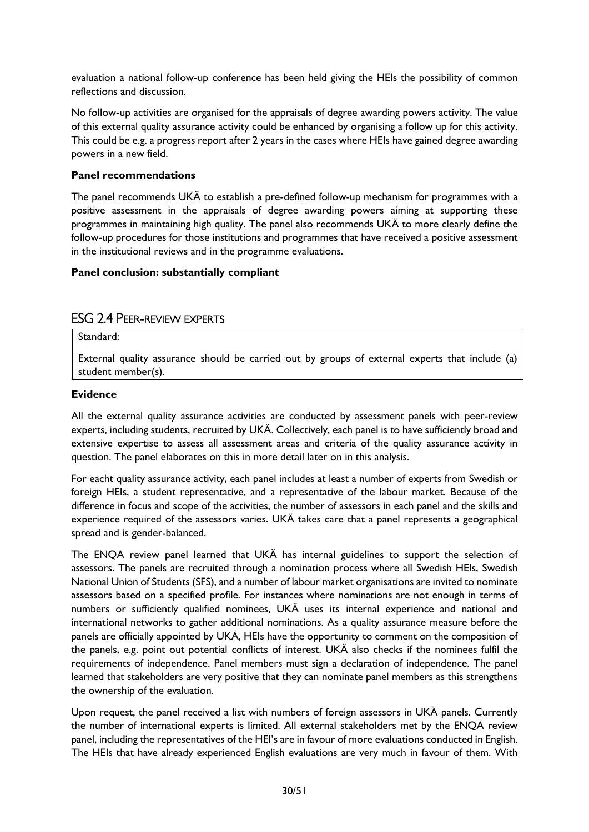evaluation a national follow-up conference has been held giving the HEIs the possibility of common reflections and discussion.

No follow-up activities are organised for the appraisals of degree awarding powers activity. The value of this external quality assurance activity could be enhanced by organising a follow up for this activity. This could be e.g. a progress report after 2 years in the cases where HEIs have gained degree awarding powers in a new field.

#### **Panel recommendations**

The panel recommends UKÄ to establish a pre-defined follow-up mechanism for programmes with a positive assessment in the appraisals of degree awarding powers aiming at supporting these programmes in maintaining high quality. The panel also recommends UKÄ to more clearly define the follow-up procedures for those institutions and programmes that have received a positive assessment in the institutional reviews and in the programme evaluations.

#### **Panel conclusion: substantially compliant**

# <span id="page-30-0"></span>ESG 2.4 PEER-REVIEW EXPERTS

Standard:

External quality assurance should be carried out by groups of external experts that include (a) student member(s).

#### **Evidence**

All the external quality assurance activities are conducted by assessment panels with peer-review experts, including students, recruited by UKÄ. Collectively, each panel is to have sufficiently broad and extensive expertise to assess all assessment areas and criteria of the quality assurance activity in question. The panel elaborates on this in more detail later on in this analysis.

For eacht quality assurance activity, each panel includes at least a number of experts from Swedish or foreign HEIs, a student representative, and a representative of the labour market. Because of the difference in focus and scope of the activities, the number of assessors in each panel and the skills and experience required of the assessors varies. UKÄ takes care that a panel represents a geographical spread and is gender-balanced.

The ENQA review panel learned that UKÄ has internal guidelines to support the selection of assessors. The panels are recruited through a nomination process where all Swedish HEIs, Swedish National Union of Students (SFS), and a number of labour market organisations are invited to nominate assessors based on a specified profile. For instances where nominations are not enough in terms of numbers or sufficiently qualified nominees, UKÄ uses its internal experience and national and international networks to gather additional nominations. As a quality assurance measure before the panels are officially appointed by UKÄ, HEIs have the opportunity to comment on the composition of the panels, e.g. point out potential conflicts of interest. UKÄ also checks if the nominees fulfil the requirements of independence. Panel members must sign a declaration of independence. The panel learned that stakeholders are very positive that they can nominate panel members as this strengthens the ownership of the evaluation.

Upon request, the panel received a list with numbers of foreign assessors in UKÄ panels. Currently the number of international experts is limited. All external stakeholders met by the ENQA review panel, including the representatives of the HEI's are in favour of more evaluations conducted in English. The HEIs that have already experienced English evaluations are very much in favour of them. With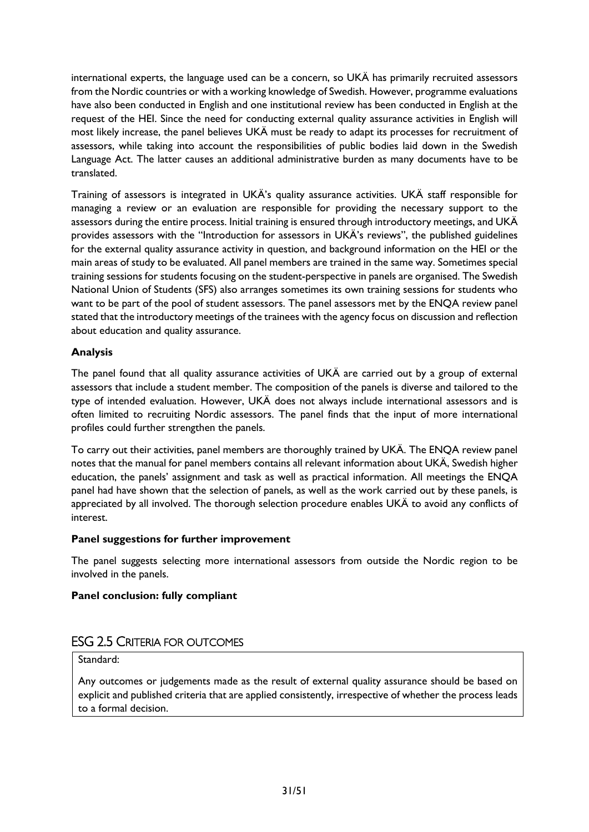international experts, the language used can be a concern, so UKÄ has primarily recruited assessors from the Nordic countries or with a working knowledge of Swedish. However, programme evaluations have also been conducted in English and one institutional review has been conducted in English at the request of the HEI. Since the need for conducting external quality assurance activities in English will most likely increase, the panel believes UKÄ must be ready to adapt its processes for recruitment of assessors, while taking into account the responsibilities of public bodies laid down in the Swedish Language Act. The latter causes an additional administrative burden as many documents have to be translated.

Training of assessors is integrated in UKÄ's quality assurance activities. UKÄ staff responsible for managing a review or an evaluation are responsible for providing the necessary support to the assessors during the entire process. Initial training is ensured through introductory meetings, and UKÄ provides assessors with the "Introduction for assessors in UKÄ's reviews", the published guidelines for the external quality assurance activity in question, and background information on the HEI or the main areas of study to be evaluated. All panel members are trained in the same way. Sometimes special training sessions for students focusing on the student-perspective in panels are organised. The Swedish National Union of Students (SFS) also arranges sometimes its own training sessions for students who want to be part of the pool of student assessors. The panel assessors met by the ENQA review panel stated that the introductory meetings of the trainees with the agency focus on discussion and reflection about education and quality assurance.

#### **Analysis**

The panel found that all quality assurance activities of UKÄ are carried out by a group of external assessors that include a student member. The composition of the panels is diverse and tailored to the type of intended evaluation. However, UKÄ does not always include international assessors and is often limited to recruiting Nordic assessors. The panel finds that the input of more international profiles could further strengthen the panels.

To carry out their activities, panel members are thoroughly trained by UKÄ. The ENQA review panel notes that the manual for panel members contains all relevant information about UKÄ, Swedish higher education, the panels' assignment and task as well as practical information. All meetings the ENQA panel had have shown that the selection of panels, as well as the work carried out by these panels, is appreciated by all involved. The thorough selection procedure enables UKÄ to avoid any conflicts of interest.

#### **Panel suggestions for further improvement**

The panel suggests selecting more international assessors from outside the Nordic region to be involved in the panels.

# **Panel conclusion: fully compliant**

# <span id="page-31-0"></span>ESG 2.5 CRITERIA FOR OUTCOMES

#### Standard:

Any outcomes or judgements made as the result of external quality assurance should be based on explicit and published criteria that are applied consistently, irrespective of whether the process leads to a formal decision.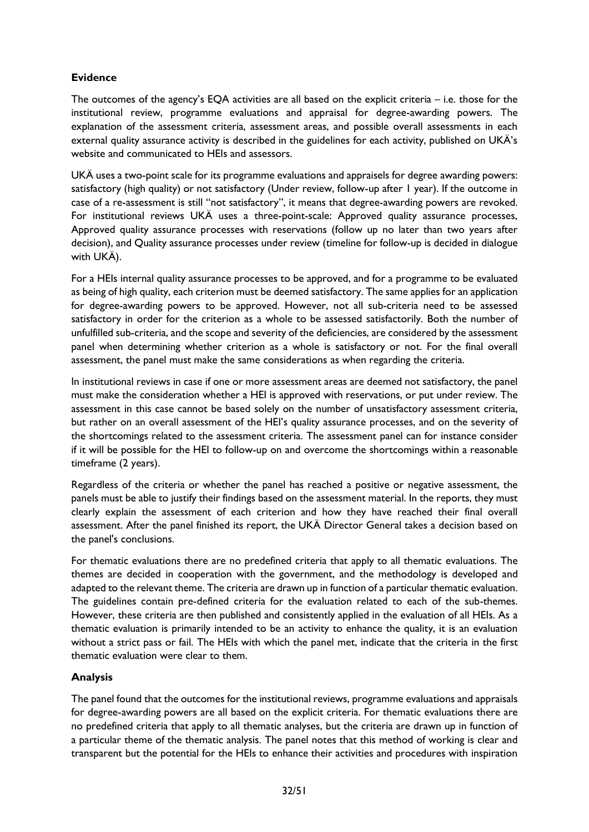# **Evidence**

The outcomes of the agency's EQA activities are all based on the explicit criteria – i.e. those for the institutional review, programme evaluations and appraisal for degree-awarding powers. The explanation of the assessment criteria, assessment areas, and possible overall assessments in each external quality assurance activity is described in the guidelines for each activity, published on UKÄ's website and communicated to HEIs and assessors.

UKÄ uses a two-point scale for its programme evaluations and appraisels for degree awarding powers: satisfactory (high quality) or not satisfactory (Under review, follow-up after 1 year). If the outcome in case of a re-assessment is still "not satisfactory", it means that degree-awarding powers are revoked. For institutional reviews UKÄ uses a three-point-scale: Approved quality assurance processes, Approved quality assurance processes with reservations (follow up no later than two years after decision), and Quality assurance processes under review (timeline for follow-up is decided in dialogue with UKÄ).

For a HEIs internal quality assurance processes to be approved, and for a programme to be evaluated as being of high quality, each criterion must be deemed satisfactory. The same applies for an application for degree-awarding powers to be approved. However, not all sub-criteria need to be assessed satisfactory in order for the criterion as a whole to be assessed satisfactorily. Both the number of unfulfilled sub-criteria, and the scope and severity of the deficiencies, are considered by the assessment panel when determining whether criterion as a whole is satisfactory or not. For the final overall assessment, the panel must make the same considerations as when regarding the criteria.

In institutional reviews in case if one or more assessment areas are deemed not satisfactory, the panel must make the consideration whether a HEI is approved with reservations, or put under review. The assessment in this case cannot be based solely on the number of unsatisfactory assessment criteria, but rather on an overall assessment of the HEI's quality assurance processes, and on the severity of the shortcomings related to the assessment criteria. The assessment panel can for instance consider if it will be possible for the HEI to follow-up on and overcome the shortcomings within a reasonable timeframe (2 years).

Regardless of the criteria or whether the panel has reached a positive or negative assessment, the panels must be able to justify their findings based on the assessment material. In the reports, they must clearly explain the assessment of each criterion and how they have reached their final overall assessment. After the panel finished its report, the UKÄ Director General takes a decision based on the panel's conclusions.

For thematic evaluations there are no predefined criteria that apply to all thematic evaluations. The themes are decided in cooperation with the government, and the methodology is developed and adapted to the relevant theme. The criteria are drawn up in function of a particular thematic evaluation. The guidelines contain pre-defined criteria for the evaluation related to each of the sub-themes. However, these criteria are then published and consistently applied in the evaluation of all HEIs. As a thematic evaluation is primarily intended to be an activity to enhance the quality, it is an evaluation without a strict pass or fail. The HEIs with which the panel met, indicate that the criteria in the first thematic evaluation were clear to them.

#### **Analysis**

The panel found that the outcomes for the institutional reviews, programme evaluations and appraisals for degree-awarding powers are all based on the explicit criteria. For thematic evaluations there are no predefined criteria that apply to all thematic analyses, but the criteria are drawn up in function of a particular theme of the thematic analysis. The panel notes that this method of working is clear and transparent but the potential for the HEIs to enhance their activities and procedures with inspiration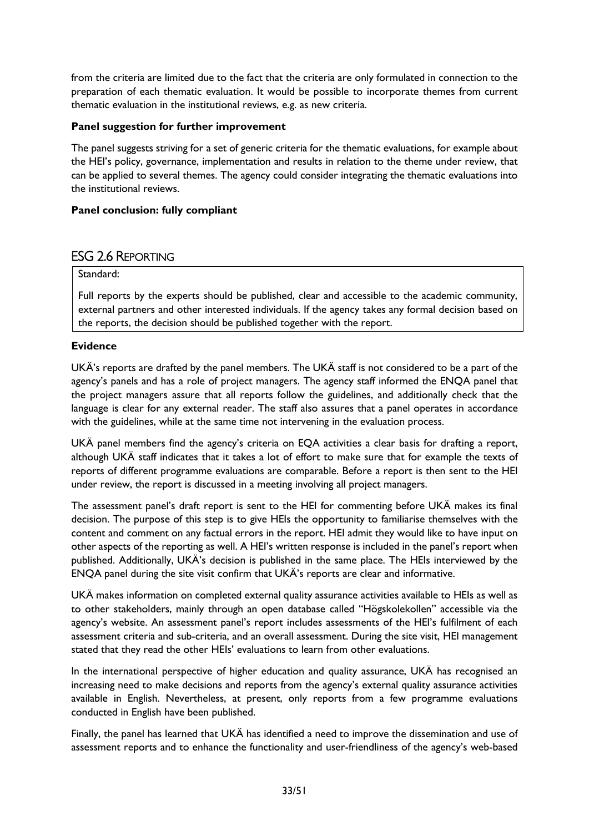from the criteria are limited due to the fact that the criteria are only formulated in connection to the preparation of each thematic evaluation. It would be possible to incorporate themes from current thematic evaluation in the institutional reviews, e.g. as new criteria.

#### **Panel suggestion for further improvement**

The panel suggests striving for a set of generic criteria for the thematic evaluations, for example about the HEI's policy, governance, implementation and results in relation to the theme under review, that can be applied to several themes. The agency could consider integrating the thematic evaluations into the institutional reviews.

#### **Panel conclusion: fully compliant**

# <span id="page-33-0"></span>ESG 2.6 REPORTING

#### Standard:

Full reports by the experts should be published, clear and accessible to the academic community, external partners and other interested individuals. If the agency takes any formal decision based on the reports, the decision should be published together with the report.

#### **Evidence**

UKÄ's reports are drafted by the panel members. The UKÄ staff is not considered to be a part of the agency's panels and has a role of project managers. The agency staff informed the ENQA panel that the project managers assure that all reports follow the guidelines, and additionally check that the language is clear for any external reader. The staff also assures that a panel operates in accordance with the guidelines, while at the same time not intervening in the evaluation process.

UKÄ panel members find the agency's criteria on EQA activities a clear basis for drafting a report, although UKÄ staff indicates that it takes a lot of effort to make sure that for example the texts of reports of different programme evaluations are comparable. Before a report is then sent to the HEI under review, the report is discussed in a meeting involving all project managers.

The assessment panel's draft report is sent to the HEI for commenting before UKÄ makes its final decision. The purpose of this step is to give HEIs the opportunity to familiarise themselves with the content and comment on any factual errors in the report. HEI admit they would like to have input on other aspects of the reporting as well. A HEI's written response is included in the panel's report when published. Additionally, UKÄ's decision is published in the same place. The HEIs interviewed by the ENQA panel during the site visit confirm that UKÄ's reports are clear and informative.

UKÄ makes information on completed external quality assurance activities available to HEIs as well as to other stakeholders, mainly through an open database called "Högskolekollen" accessible via the agency's website. An assessment panel's report includes assessments of the HEI's fulfilment of each assessment criteria and sub-criteria, and an overall assessment. During the site visit, HEI management stated that they read the other HEIs' evaluations to learn from other evaluations.

In the international perspective of higher education and quality assurance, UKÄ has recognised an increasing need to make decisions and reports from the agency's external quality assurance activities available in English. Nevertheless, at present, only reports from a few programme evaluations conducted in English have been published.

Finally, the panel has learned that UKÄ has identified a need to improve the dissemination and use of assessment reports and to enhance the functionality and user-friendliness of the agency's web-based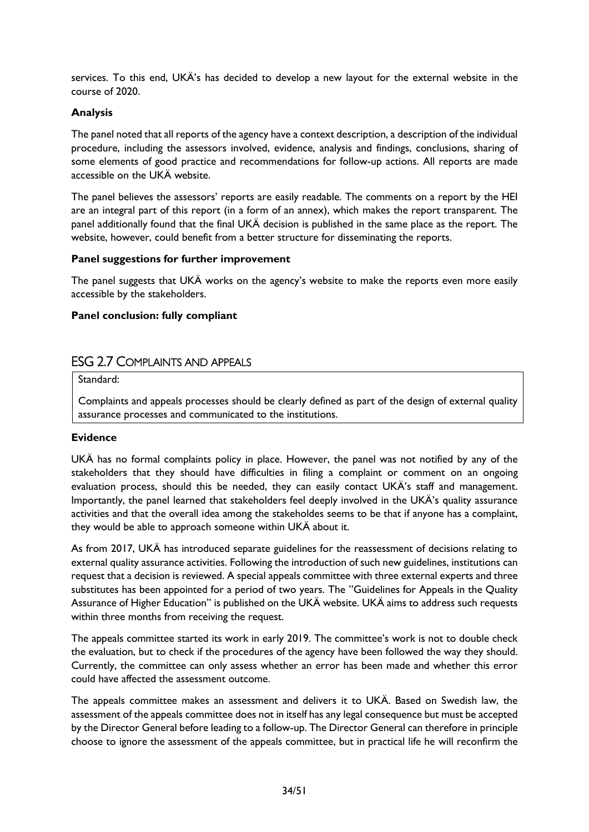services. To this end, UKÄ's has decided to develop a new layout for the external website in the course of 2020.

#### **Analysis**

The panel noted that all reports of the agency have a context description, a description of the individual procedure, including the assessors involved, evidence, analysis and findings, conclusions, sharing of some elements of good practice and recommendations for follow-up actions. All reports are made accessible on the UKÄ website.

The panel believes the assessors' reports are easily readable. The comments on a report by the HEI are an integral part of this report (in a form of an annex), which makes the report transparent. The panel additionally found that the final UKÄ decision is published in the same place as the report. The website, however, could benefit from a better structure for disseminating the reports.

#### **Panel suggestions for further improvement**

The panel suggests that UKÄ works on the agency's website to make the reports even more easily accessible by the stakeholders.

#### **Panel conclusion: fully compliant**

#### <span id="page-34-0"></span>ESG 2.7 COMPLAINTS AND APPEALS

Standard:

Complaints and appeals processes should be clearly defined as part of the design of external quality assurance processes and communicated to the institutions.

#### **Evidence**

UKÄ has no formal complaints policy in place. However, the panel was not notified by any of the stakeholders that they should have difficulties in filing a complaint or comment on an ongoing evaluation process, should this be needed, they can easily contact UKÄ's staff and management. Importantly, the panel learned that stakeholders feel deeply involved in the UKÄ's quality assurance activities and that the overall idea among the stakeholdes seems to be that if anyone has a complaint, they would be able to approach someone within UKÄ about it.

As from 2017, UKÄ has introduced separate guidelines for the reassessment of decisions relating to external quality assurance activities. Following the introduction of such new guidelines, institutions can request that a decision is reviewed. A special appeals committee with three external experts and three substitutes has been appointed for a period of two years. The "Guidelines for Appeals in the Quality Assurance of Higher Education" is published on the UKÄ website. UKÄ aims to address such requests within three months from receiving the request.

The appeals committee started its work in early 2019. The committee's work is not to double check the evaluation, but to check if the procedures of the agency have been followed the way they should. Currently, the committee can only assess whether an error has been made and whether this error could have affected the assessment outcome.

The appeals committee makes an assessment and delivers it to UKÄ. Based on Swedish law, the assessment of the appeals committee does not in itself has any legal consequence but must be accepted by the Director General before leading to a follow-up. The Director General can therefore in principle choose to ignore the assessment of the appeals committee, but in practical life he will reconfirm the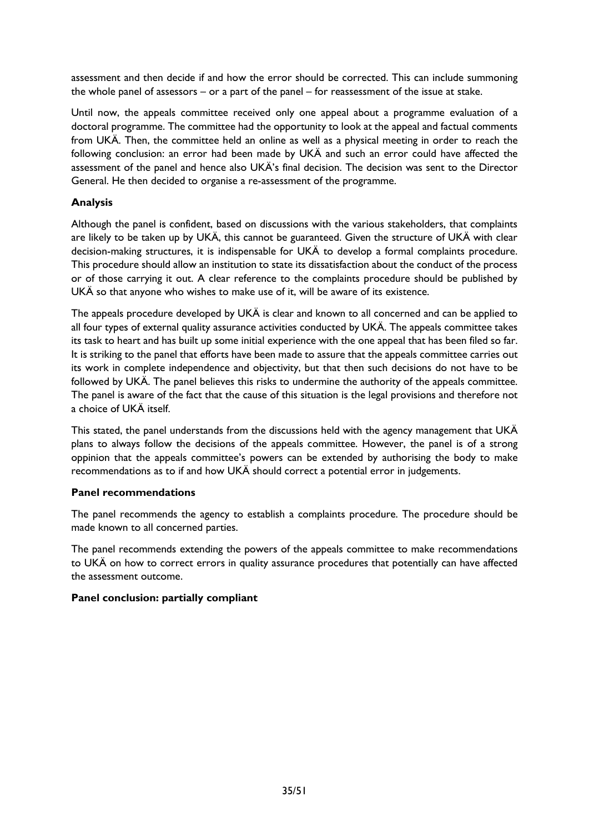assessment and then decide if and how the error should be corrected. This can include summoning the whole panel of assessors – or a part of the panel – for reassessment of the issue at stake.

Until now, the appeals committee received only one appeal about a programme evaluation of a doctoral programme. The committee had the opportunity to look at the appeal and factual comments from UKÄ. Then, the committee held an online as well as a physical meeting in order to reach the following conclusion: an error had been made by UKÄ and such an error could have affected the assessment of the panel and hence also UKÄ's final decision. The decision was sent to the Director General. He then decided to organise a re-assessment of the programme.

#### **Analysis**

Although the panel is confident, based on discussions with the various stakeholders, that complaints are likely to be taken up by UKÄ, this cannot be guaranteed. Given the structure of UKÄ with clear decision-making structures, it is indispensable for UKÄ to develop a formal complaints procedure. This procedure should allow an institution to state its dissatisfaction about the conduct of the process or of those carrying it out. A clear reference to the complaints procedure should be published by UKÄ so that anyone who wishes to make use of it, will be aware of its existence.

The appeals procedure developed by UKÄ is clear and known to all concerned and can be applied to all four types of external quality assurance activities conducted by UKÄ. The appeals committee takes its task to heart and has built up some initial experience with the one appeal that has been filed so far. It is striking to the panel that efforts have been made to assure that the appeals committee carries out its work in complete independence and objectivity, but that then such decisions do not have to be followed by UKÄ. The panel believes this risks to undermine the authority of the appeals committee. The panel is aware of the fact that the cause of this situation is the legal provisions and therefore not a choice of UKÄ itself.

This stated, the panel understands from the discussions held with the agency management that UKÄ plans to always follow the decisions of the appeals committee. However, the panel is of a strong oppinion that the appeals committee's powers can be extended by authorising the body to make recommendations as to if and how UKÄ should correct a potential error in judgements.

#### **Panel recommendations**

The panel recommends the agency to establish a complaints procedure. The procedure should be made known to all concerned parties.

The panel recommends extending the powers of the appeals committee to make recommendations to UKÄ on how to correct errors in quality assurance procedures that potentially can have affected the assessment outcome.

#### <span id="page-35-0"></span>**Panel conclusion: partially compliant**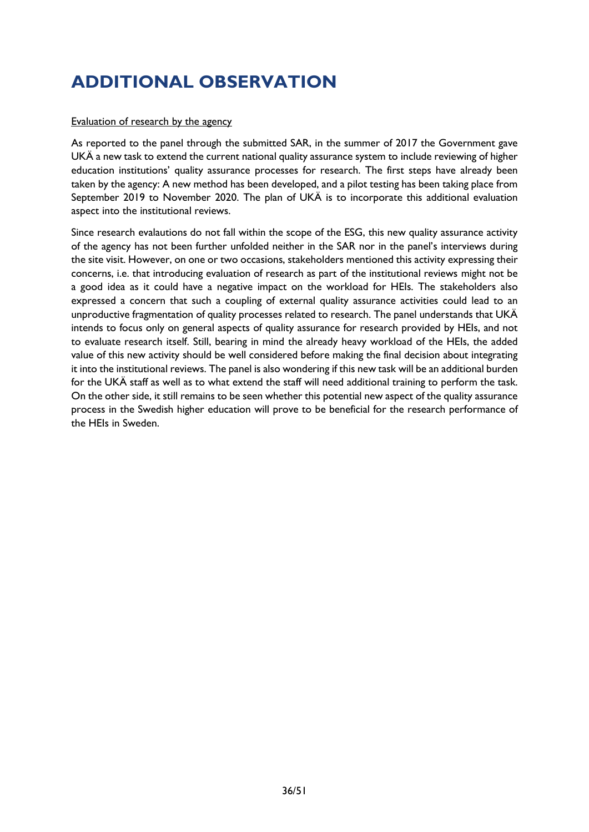# **ADDITIONAL OBSERVATION**

#### Evaluation of research by the agency

As reported to the panel through the submitted SAR, in the summer of 2017 the Government gave UKÄ a new task to extend the current national quality assurance system to include reviewing of higher education institutions' quality assurance processes for research. The first steps have already been taken by the agency: A new method has been developed, and a pilot testing has been taking place from September 2019 to November 2020. The plan of UKÄ is to incorporate this additional evaluation aspect into the institutional reviews.

Since research evalautions do not fall within the scope of the ESG, this new quality assurance activity of the agency has not been further unfolded neither in the SAR nor in the panel's interviews during the site visit. However, on one or two occasions, stakeholders mentioned this activity expressing their concerns, i.e. that introducing evaluation of research as part of the institutional reviews might not be a good idea as it could have a negative impact on the workload for HEIs. The stakeholders also expressed a concern that such a coupling of external quality assurance activities could lead to an unproductive fragmentation of quality processes related to research. The panel understands that UKÄ intends to focus only on general aspects of quality assurance for research provided by HEIs, and not to evaluate research itself. Still, bearing in mind the already heavy workload of the HEIs, the added value of this new activity should be well considered before making the final decision about integrating it into the institutional reviews. The panel is also wondering if this new task will be an additional burden for the UKÄ staff as well as to what extend the staff will need additional training to perform the task. On the other side, it still remains to be seen whether this potential new aspect of the quality assurance process in the Swedish higher education will prove to be beneficial for the research performance of the HEIs in Sweden.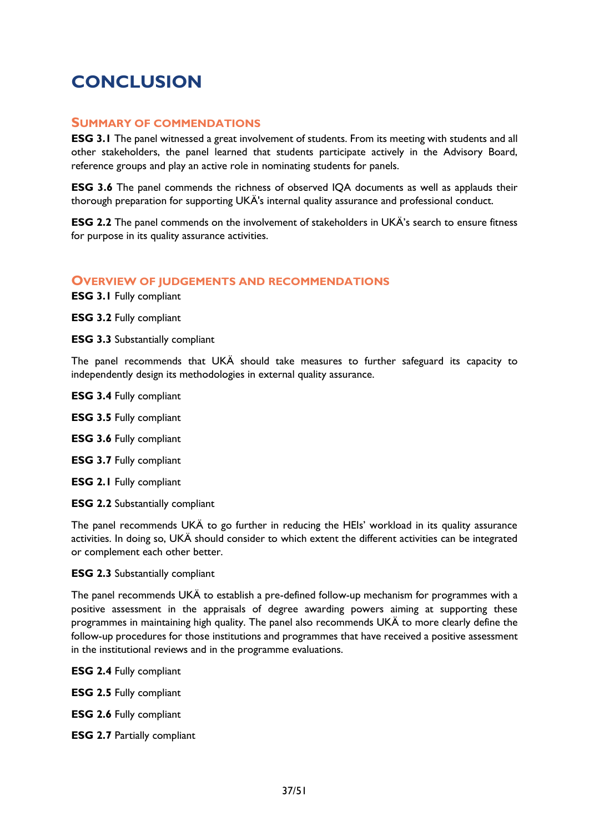# <span id="page-37-1"></span><span id="page-37-0"></span>**CONCLUSION**

#### **SUMMARY OF COMMENDATIONS**

**ESG 3.1** The panel witnessed a great involvement of students. From its meeting with students and all other stakeholders, the panel learned that students participate actively in the Advisory Board, reference groups and play an active role in nominating students for panels.

**ESG 3.6** The panel commends the richness of observed IQA documents as well as applauds their thorough preparation for supporting UKÄ's internal quality assurance and professional conduct.

**ESG 2.2** The panel commends on the involvement of stakeholders in UKÄ's search to ensure fitness for purpose in its quality assurance activities.

#### <span id="page-37-2"></span>**OVERVIEW OF JUDGEMENTS AND RECOMMENDATIONS**

**ESG 3.1** Fully compliant

**ESG 3.2** Fully compliant

**ESG 3.3** Substantially compliant

The panel recommends that UKÄ should take measures to further safeguard its capacity to independently design its methodologies in external quality assurance.

- **ESG 3.4** Fully compliant **ESG 3.5** Fully compliant **ESG 3.6** Fully compliant **ESG 3.7** Fully compliant
- **ESG 2.1** Fully compliant

**ESG 2.2** Substantially compliant

The panel recommends UKÄ to go further in reducing the HEIs' workload in its quality assurance activities. In doing so, UKÄ should consider to which extent the different activities can be integrated or complement each other better.

#### **ESG 2.3** Substantially compliant

The panel recommends UKÄ to establish a pre-defined follow-up mechanism for programmes with a positive assessment in the appraisals of degree awarding powers aiming at supporting these programmes in maintaining high quality. The panel also recommends UKÄ to more clearly define the follow-up procedures for those institutions and programmes that have received a positive assessment in the institutional reviews and in the programme evaluations.

**ESG 2.4** Fully compliant

**ESG 2.5** Fully compliant

**ESG 2.6** Fully compliant

**ESG 2.7** Partially compliant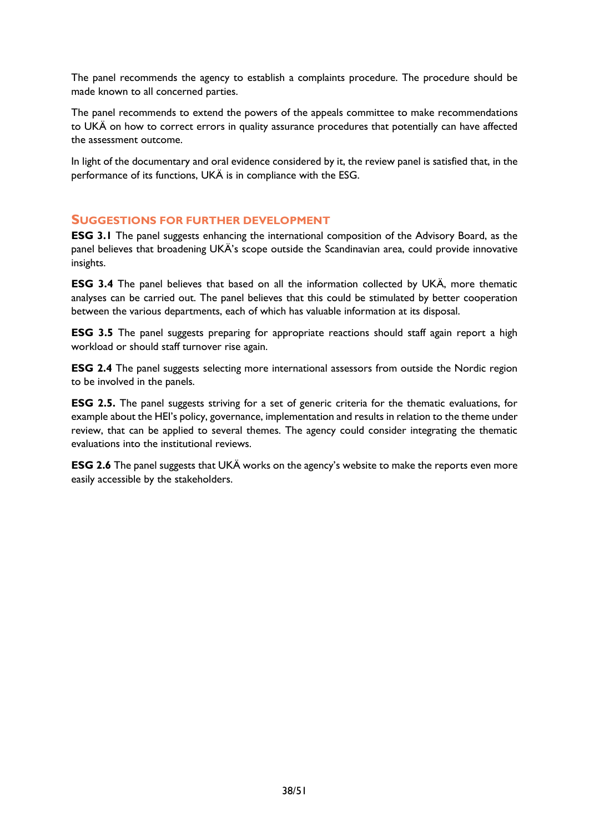The panel recommends the agency to establish a complaints procedure. The procedure should be made known to all concerned parties.

The panel recommends to extend the powers of the appeals committee to make recommendations to UKÄ on how to correct errors in quality assurance procedures that potentially can have affected the assessment outcome.

In light of the documentary and oral evidence considered by it, the review panel is satisfied that, in the performance of its functions, UKÄ is in compliance with the ESG.

#### <span id="page-38-0"></span>**SUGGESTIONS FOR FURTHER DEVELOPMENT**

**ESG 3.1** The panel suggests enhancing the international composition of the Advisory Board, as the panel believes that broadening UKÄ's scope outside the Scandinavian area, could provide innovative insights.

**ESG 3.4** The panel believes that based on all the information collected by UKÄ, more thematic analyses can be carried out. The panel believes that this could be stimulated by better cooperation between the various departments, each of which has valuable information at its disposal.

**ESG 3.5** The panel suggests preparing for appropriate reactions should staff again report a high workload or should staff turnover rise again.

**ESG 2.4** The panel suggests selecting more international assessors from outside the Nordic region to be involved in the panels.

**ESG 2.5.** The panel suggests striving for a set of generic criteria for the thematic evaluations, for example about the HEI's policy, governance, implementation and results in relation to the theme under review, that can be applied to several themes. The agency could consider integrating the thematic evaluations into the institutional reviews.

**ESG 2.6** The panel suggests that UKÄ works on the agency's website to make the reports even more easily accessible by the stakeholders.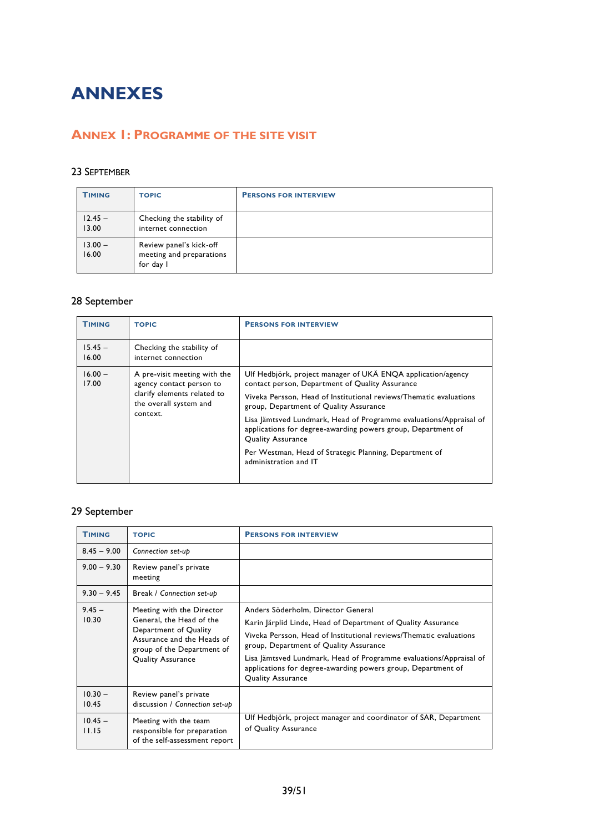# <span id="page-39-0"></span>**ANNEXES**

# <span id="page-39-1"></span>**ANNEX 1: PROGRAMME OF THE SITE VISIT**

#### 23 SEPTEMBER

| <b>TIMING</b>      | <b>TOPIC</b>                                                     | <b>PERSONS FOR INTERVIEW</b> |
|--------------------|------------------------------------------------------------------|------------------------------|
| $12.45 -$<br>13.00 | Checking the stability of<br>internet connection                 |                              |
| $13.00 -$<br>16.00 | Review panel's kick-off<br>meeting and preparations<br>for day I |                              |

# 28 September

| <b>TIMING</b>                                                                                                                                       | <b>TOPIC</b>                                                                                                                                                   | <b>PERSONS FOR INTERVIEW</b>                                                    |
|-----------------------------------------------------------------------------------------------------------------------------------------------------|----------------------------------------------------------------------------------------------------------------------------------------------------------------|---------------------------------------------------------------------------------|
| $15.45 -$<br>16.00                                                                                                                                  | Checking the stability of<br>internet connection                                                                                                               |                                                                                 |
| $16.00 -$<br>A pre-visit meeting with the<br>17.00<br>agency contact person to<br>clarify elements related to<br>the overall system and<br>context. | Ulf Hedbjörk, project manager of UKÄ ENQA application/agency<br>contact person, Department of Quality Assurance                                                |                                                                                 |
|                                                                                                                                                     | Viveka Persson, Head of Institutional reviews/Thematic evaluations<br>group, Department of Quality Assurance                                                   |                                                                                 |
|                                                                                                                                                     | Lisa Jämtsved Lundmark, Head of Programme evaluations/Appraisal of<br>applications for degree-awarding powers group, Department of<br><b>Quality Assurance</b> |                                                                                 |
|                                                                                                                                                     |                                                                                                                                                                | Per Westman, Head of Strategic Planning, Department of<br>administration and IT |

# 29 September

| <b>TIMING</b>      | <b>TOPIC</b>                                                                                                                                                           | <b>PERSONS FOR INTERV</b>                                                                                                                                                                                                                                                                                                                                                            |
|--------------------|------------------------------------------------------------------------------------------------------------------------------------------------------------------------|--------------------------------------------------------------------------------------------------------------------------------------------------------------------------------------------------------------------------------------------------------------------------------------------------------------------------------------------------------------------------------------|
| $8.45 - 9.00$      | Connection set-up                                                                                                                                                      |                                                                                                                                                                                                                                                                                                                                                                                      |
| $9.00 - 9.30$      | Review panel's private<br>meeting                                                                                                                                      |                                                                                                                                                                                                                                                                                                                                                                                      |
| $9.30 - 9.45$      | Break / Connection set-up                                                                                                                                              |                                                                                                                                                                                                                                                                                                                                                                                      |
| $9.45 -$<br>10.30  | Meeting with the Director<br>General, the Head of the<br>Department of Quality<br>Assurance and the Heads of<br>group of the Department of<br><b>Quality Assurance</b> | Anders Söderholm, Director General<br>Karin Järplid Linde, Head of Department of Quality Assurance<br>Viveka Persson, Head of Institutional reviews/Thematic evaluations<br>group, Department of Quality Assurance<br>Lisa Jämtsved Lundmark, Head of Programme evaluations/Appraisal of<br>applications for degree-awarding powers group, Department of<br><b>Quality Assurance</b> |
| $10.30 -$<br>10.45 | Review panel's private<br>discussion / Connection set-up                                                                                                               |                                                                                                                                                                                                                                                                                                                                                                                      |
| $10.45 -$<br>11.15 | Meeting with the team<br>responsible for preparation<br>of the self-assessment report                                                                                  | Ulf Hedbjörk, project manager and coordinator of SAR, Department<br>of Quality Assurance                                                                                                                                                                                                                                                                                             |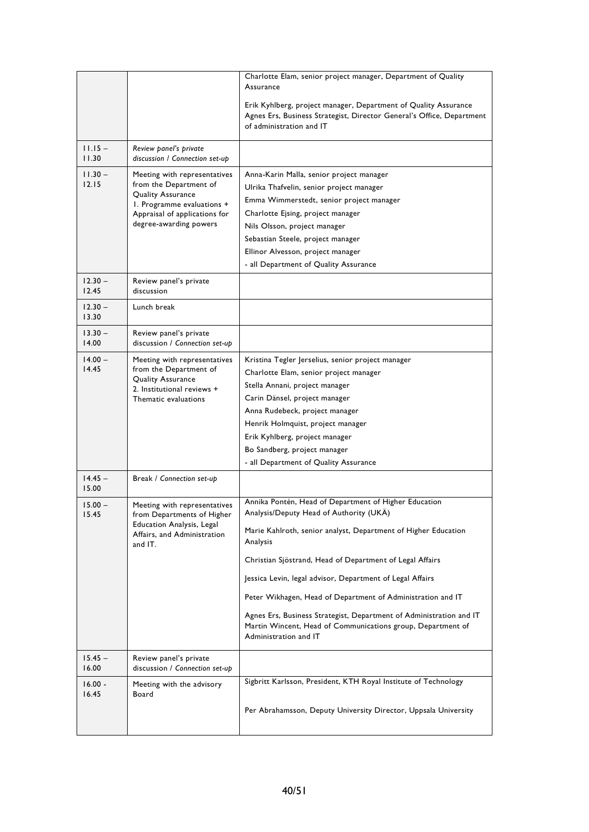|                    |                                                                                                                                                                      | Charlotte Elam, senior project manager, Department of Quality<br>Assurance                                                                                                                                                                                                                                                                                                                                                                                                                                                            |
|--------------------|----------------------------------------------------------------------------------------------------------------------------------------------------------------------|---------------------------------------------------------------------------------------------------------------------------------------------------------------------------------------------------------------------------------------------------------------------------------------------------------------------------------------------------------------------------------------------------------------------------------------------------------------------------------------------------------------------------------------|
|                    |                                                                                                                                                                      | Erik Kyhlberg, project manager, Department of Quality Assurance<br>Agnes Ers, Business Strategist, Director General's Office, Department<br>of administration and IT                                                                                                                                                                                                                                                                                                                                                                  |
| $11.15 -$<br>11.30 | Review panel's private<br>discussion / Connection set-up                                                                                                             |                                                                                                                                                                                                                                                                                                                                                                                                                                                                                                                                       |
| $11.30 -$<br>12.15 | Meeting with representatives<br>from the Department of<br>Quality Assurance<br>1. Programme evaluations +<br>Appraisal of applications for<br>degree-awarding powers | Anna-Karin Malla, senior project manager<br>Ulrika Thafvelin, senior project manager<br>Emma Wimmerstedt, senior project manager<br>Charlotte Ejsing, project manager<br>Nils Olsson, project manager<br>Sebastian Steele, project manager<br>Ellinor Alvesson, project manager<br>- all Department of Quality Assurance                                                                                                                                                                                                              |
| $12.30 -$<br>12.45 | Review panel's private<br>discussion                                                                                                                                 |                                                                                                                                                                                                                                                                                                                                                                                                                                                                                                                                       |
| $12.30 -$<br>13.30 | Lunch break                                                                                                                                                          |                                                                                                                                                                                                                                                                                                                                                                                                                                                                                                                                       |
| $13.30 -$<br>14.00 | Review panel's private<br>discussion / Connection set-up                                                                                                             |                                                                                                                                                                                                                                                                                                                                                                                                                                                                                                                                       |
| $14.00 -$<br>14.45 | Meeting with representatives<br>from the Department of<br>Quality Assurance<br>2. Institutional reviews +<br>Thematic evaluations                                    | Kristina Tegler Jerselius, senior project manager<br>Charlotte Elam, senior project manager<br>Stella Annani, project manager<br>Carin Dänsel, project manager<br>Anna Rudebeck, project manager<br>Henrik Holmquist, project manager<br>Erik Kyhlberg, project manager<br>Bo Sandberg, project manager<br>- all Department of Quality Assurance                                                                                                                                                                                      |
| $14.45 -$<br>15.00 | Break / Connection set-up                                                                                                                                            |                                                                                                                                                                                                                                                                                                                                                                                                                                                                                                                                       |
| $15.00 -$<br>15.45 | Meeting with representatives<br>from Departments of Higher<br>Education Analysis, Legal<br>Affairs, and Administration<br>and IT.                                    | Annika Pontén, Head of Department of Higher Education<br>Analysis/Deputy Head of Authority (UKÄ)<br>Marie Kahlroth, senior analyst, Department of Higher Education<br>Analysis<br>Christian Sjöstrand, Head of Department of Legal Affairs<br>Jessica Levin, legal advisor, Department of Legal Affairs<br>Peter Wikhagen, Head of Department of Administration and IT<br>Agnes Ers, Business Strategist, Department of Administration and IT<br>Martin Wincent, Head of Communications group, Department of<br>Administration and IT |
| $15.45 -$<br>16.00 | Review panel's private<br>discussion / Connection set-up                                                                                                             |                                                                                                                                                                                                                                                                                                                                                                                                                                                                                                                                       |
| $16.00 -$<br>16.45 | Meeting with the advisory<br>Board                                                                                                                                   | Sigbritt Karlsson, President, KTH Royal Institute of Technology<br>Per Abrahamsson, Deputy University Director, Uppsala University                                                                                                                                                                                                                                                                                                                                                                                                    |
|                    |                                                                                                                                                                      |                                                                                                                                                                                                                                                                                                                                                                                                                                                                                                                                       |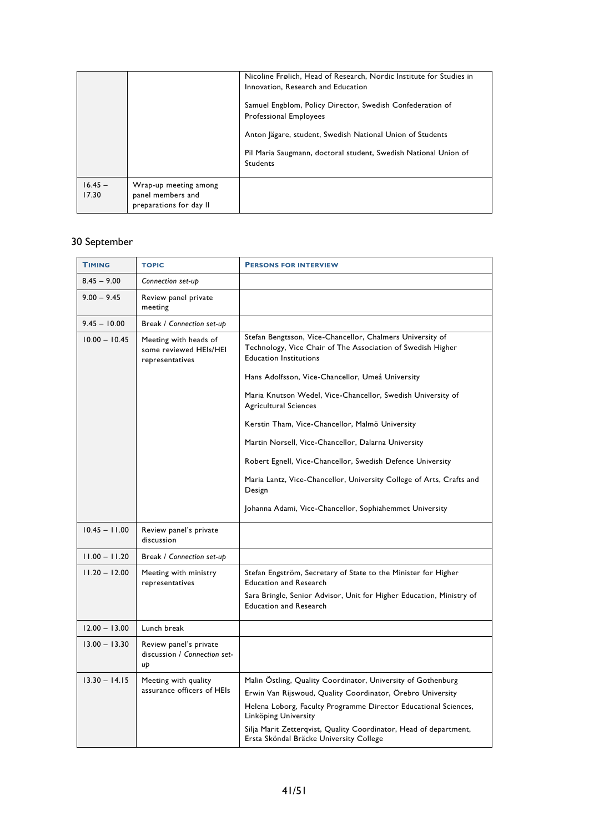|                    |                                                                       | Nicoline Frølich, Head of Research, Nordic Institute for Studies in<br>Innovation, Research and Education<br>Samuel Engblom, Policy Director, Swedish Confederation of<br><b>Professional Employees</b><br>Anton Jägare, student, Swedish National Union of Students<br>Pil Maria Saugmann, doctoral student, Swedish National Union of<br><b>Students</b> |
|--------------------|-----------------------------------------------------------------------|------------------------------------------------------------------------------------------------------------------------------------------------------------------------------------------------------------------------------------------------------------------------------------------------------------------------------------------------------------|
| $16.45 -$<br>17.30 | Wrap-up meeting among<br>panel members and<br>preparations for day II |                                                                                                                                                                                                                                                                                                                                                            |

# 30 September

| <b>TIMING</b>   | <b>TOPIC</b>                                                       | <b>PERSONS FOR INTERVIEW</b>                                                                                                                              |
|-----------------|--------------------------------------------------------------------|-----------------------------------------------------------------------------------------------------------------------------------------------------------|
| $8.45 - 9.00$   | Connection set-up                                                  |                                                                                                                                                           |
| $9.00 - 9.45$   | Review panel private<br>meeting                                    |                                                                                                                                                           |
| $9.45 - 10.00$  | Break / Connection set-up                                          |                                                                                                                                                           |
| $10.00 - 10.45$ | Meeting with heads of<br>some reviewed HEIs/HEI<br>representatives | Stefan Bengtsson, Vice-Chancellor, Chalmers University of<br>Technology, Vice Chair of The Association of Swedish Higher<br><b>Education Institutions</b> |
|                 |                                                                    | Hans Adolfsson, Vice-Chancellor, Umeå University                                                                                                          |
|                 |                                                                    | Maria Knutson Wedel, Vice-Chancellor, Swedish University of<br><b>Agricultural Sciences</b>                                                               |
|                 |                                                                    | Kerstin Tham, Vice-Chancellor, Malmö University                                                                                                           |
|                 |                                                                    | Martin Norsell, Vice-Chancellor, Dalarna University                                                                                                       |
|                 |                                                                    | Robert Egnell, Vice-Chancellor, Swedish Defence University                                                                                                |
|                 |                                                                    | Maria Lantz, Vice-Chancellor, University College of Arts, Crafts and<br>Design                                                                            |
|                 |                                                                    | Johanna Adami, Vice-Chancellor, Sophiahemmet University                                                                                                   |
| $10.45 - 11.00$ | Review panel's private<br>discussion                               |                                                                                                                                                           |
| $11.00 - 11.20$ | Break / Connection set-up                                          |                                                                                                                                                           |
| $11.20 - 12.00$ | Meeting with ministry<br>representatives                           | Stefan Engström, Secretary of State to the Minister for Higher<br><b>Education and Research</b>                                                           |
|                 |                                                                    | Sara Bringle, Senior Advisor, Unit for Higher Education, Ministry of<br><b>Education and Research</b>                                                     |
| $12.00 - 13.00$ | Lunch break                                                        |                                                                                                                                                           |
| $13.00 - 13.30$ | Review panel's private<br>discussion / Connection set-<br>up       |                                                                                                                                                           |
| $13.30 - 14.15$ | Meeting with quality                                               | Malin Östling, Quality Coordinator, University of Gothenburg                                                                                              |
|                 | assurance officers of HEIs                                         | Erwin Van Rijswoud, Quality Coordinator, Örebro University                                                                                                |
|                 |                                                                    | Helena Loborg, Faculty Programme Director Educational Sciences,<br>Linköping University                                                                   |
|                 |                                                                    | Silja Marit Zetterqvist, Quality Coordinator, Head of department,<br>Ersta Sköndal Bräcke University College                                              |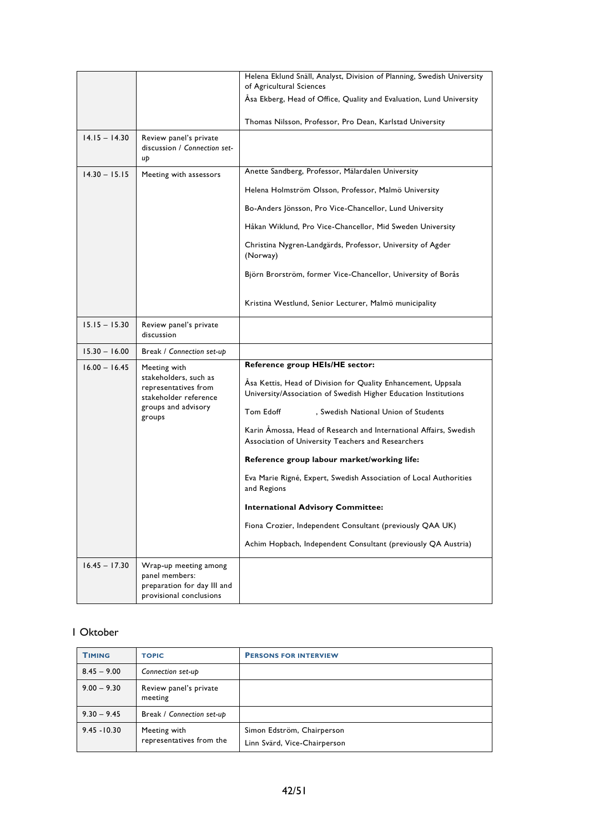|                 |                                                                                                                         | Helena Eklund Snäll, Analyst, Division of Planning, Swedish University<br>of Agricultural Sciences                                                                                                                                                                                                                                                                                                                                                                                                                                                                                                                                                               |
|-----------------|-------------------------------------------------------------------------------------------------------------------------|------------------------------------------------------------------------------------------------------------------------------------------------------------------------------------------------------------------------------------------------------------------------------------------------------------------------------------------------------------------------------------------------------------------------------------------------------------------------------------------------------------------------------------------------------------------------------------------------------------------------------------------------------------------|
|                 |                                                                                                                         | Asa Ekberg, Head of Office, Quality and Evaluation, Lund University                                                                                                                                                                                                                                                                                                                                                                                                                                                                                                                                                                                              |
|                 |                                                                                                                         | Thomas Nilsson, Professor, Pro Dean, Karlstad University                                                                                                                                                                                                                                                                                                                                                                                                                                                                                                                                                                                                         |
| $14.15 - 14.30$ | Review panel's private<br>discussion / Connection set-<br>uþ                                                            |                                                                                                                                                                                                                                                                                                                                                                                                                                                                                                                                                                                                                                                                  |
| $14.30 - 15.15$ | Meeting with assessors                                                                                                  | Anette Sandberg, Professor, Mälardalen University                                                                                                                                                                                                                                                                                                                                                                                                                                                                                                                                                                                                                |
|                 |                                                                                                                         | Helena Holmström Olsson, Professor, Malmö University                                                                                                                                                                                                                                                                                                                                                                                                                                                                                                                                                                                                             |
|                 |                                                                                                                         | Bo-Anders Jönsson, Pro Vice-Chancellor, Lund University                                                                                                                                                                                                                                                                                                                                                                                                                                                                                                                                                                                                          |
|                 |                                                                                                                         | Håkan Wiklund, Pro Vice-Chancellor, Mid Sweden University                                                                                                                                                                                                                                                                                                                                                                                                                                                                                                                                                                                                        |
|                 |                                                                                                                         | Christina Nygren-Landgärds, Professor, University of Agder<br>(Norway)                                                                                                                                                                                                                                                                                                                                                                                                                                                                                                                                                                                           |
|                 |                                                                                                                         | Björn Brorström, former Vice-Chancellor, University of Borås                                                                                                                                                                                                                                                                                                                                                                                                                                                                                                                                                                                                     |
|                 |                                                                                                                         | Kristina Westlund, Senior Lecturer, Malmö municipality                                                                                                                                                                                                                                                                                                                                                                                                                                                                                                                                                                                                           |
| $15.15 - 15.30$ | Review panel's private<br>discussion                                                                                    |                                                                                                                                                                                                                                                                                                                                                                                                                                                                                                                                                                                                                                                                  |
| $15.30 - 16.00$ | Break / Connection set-up                                                                                               |                                                                                                                                                                                                                                                                                                                                                                                                                                                                                                                                                                                                                                                                  |
| $16.00 - 16.45$ | Meeting with<br>stakeholders, such as<br>representatives from<br>stakeholder reference<br>groups and advisory<br>groups | Reference group HEIs/HE sector:<br>Åsa Kettis, Head of Division for Quality Enhancement, Uppsala<br>University/Association of Swedish Higher Education Institutions<br>Tom Edoff<br>, Swedish National Union of Students<br>Karin Amossa, Head of Research and International Affairs, Swedish<br>Association of University Teachers and Researchers<br>Reference group labour market/working life:<br>Eva Marie Rigné, Expert, Swedish Association of Local Authorities<br>and Regions<br><b>International Advisory Committee:</b><br>Fiona Crozier, Independent Consultant (previously QAA UK)<br>Achim Hopbach, Independent Consultant (previously QA Austria) |
| $16.45 - 17.30$ | Wrap-up meeting among<br>panel members:<br>preparation for day III and<br>provisional conclusions                       |                                                                                                                                                                                                                                                                                                                                                                                                                                                                                                                                                                                                                                                                  |

#### 1 Oktober

| <b>TIMING</b>  | <b>TOPIC</b>                             | <b>PERSONS FOR INTERVIEW</b>                               |
|----------------|------------------------------------------|------------------------------------------------------------|
| $8.45 - 9.00$  | Connection set-up                        |                                                            |
| $9.00 - 9.30$  | Review panel's private<br>meeting        |                                                            |
| $9.30 - 9.45$  | Break / Connection set-up                |                                                            |
| $9.45 - 10.30$ | Meeting with<br>representatives from the | Simon Edström, Chairperson<br>Linn Svärd, Vice-Chairperson |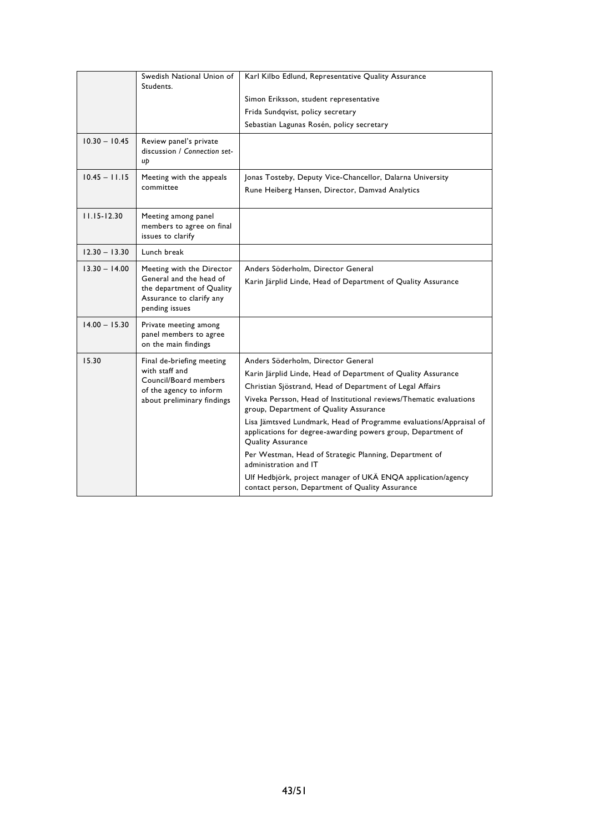|                 | Swedish National Union of<br>Students.                                                                                          | Karl Kilbo Edlund, Representative Quality Assurance                                                                                                            |
|-----------------|---------------------------------------------------------------------------------------------------------------------------------|----------------------------------------------------------------------------------------------------------------------------------------------------------------|
|                 |                                                                                                                                 | Simon Eriksson, student representative                                                                                                                         |
|                 |                                                                                                                                 | Frida Sundqvist, policy secretary                                                                                                                              |
|                 |                                                                                                                                 | Sebastian Lagunas Rosén, policy secretary                                                                                                                      |
| $10.30 - 10.45$ | Review panel's private<br>discussion / Connection set-<br>uþ                                                                    |                                                                                                                                                                |
| $10.45 - 11.15$ | Meeting with the appeals                                                                                                        | Jonas Tosteby, Deputy Vice-Chancellor, Dalarna University                                                                                                      |
|                 | committee                                                                                                                       | Rune Heiberg Hansen, Director, Damvad Analytics                                                                                                                |
| $11.15 - 12.30$ | Meeting among panel<br>members to agree on final<br>issues to clarify                                                           |                                                                                                                                                                |
| $12.30 - 13.30$ | Lunch break                                                                                                                     |                                                                                                                                                                |
| $13.30 - 14.00$ | Meeting with the Director<br>General and the head of<br>the department of Quality<br>Assurance to clarify any<br>pending issues | Anders Söderholm, Director General<br>Karin Järplid Linde, Head of Department of Quality Assurance                                                             |
| $14.00 - 15.30$ | Private meeting among<br>panel members to agree<br>on the main findings                                                         |                                                                                                                                                                |
| 15.30           | Final de-briefing meeting<br>with staff and<br>Council/Board members<br>of the agency to inform<br>about preliminary findings   | Anders Söderholm, Director General                                                                                                                             |
|                 |                                                                                                                                 | Karin Järplid Linde, Head of Department of Quality Assurance                                                                                                   |
|                 |                                                                                                                                 | Christian Sjöstrand, Head of Department of Legal Affairs                                                                                                       |
|                 |                                                                                                                                 | Viveka Persson, Head of Institutional reviews/Thematic evaluations<br>group, Department of Quality Assurance                                                   |
|                 |                                                                                                                                 | Lisa Jämtsved Lundmark, Head of Programme evaluations/Appraisal of<br>applications for degree-awarding powers group, Department of<br><b>Quality Assurance</b> |
|                 |                                                                                                                                 | Per Westman, Head of Strategic Planning, Department of<br>administration and IT                                                                                |
|                 |                                                                                                                                 | Ulf Hedbjörk, project manager of UKÄ ENQA application/agency<br>contact person, Department of Quality Assurance                                                |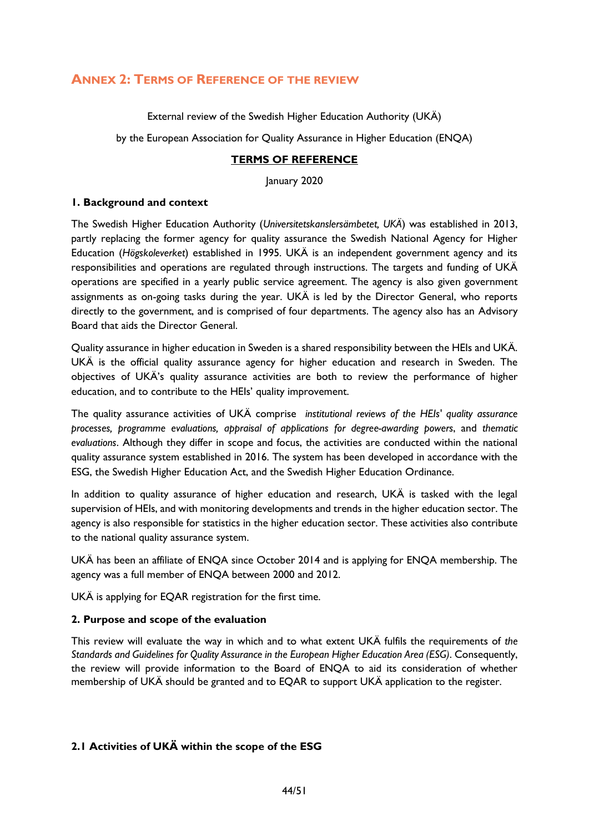# <span id="page-44-0"></span>**ANNEX 2: TERMS OF REFERENCE OF THE REVIEW**

External review of the Swedish Higher Education Authority (UKÄ)

by the European Association for Quality Assurance in Higher Education (ENQA)

#### **TERMS OF REFERENCE**

January 2020

#### **1. Background and context**

The Swedish Higher Education Authority (*Universitetskanslersämbetet, UKÄ*) was established in 2013, partly replacing the former agency for quality assurance the Swedish National Agency for Higher Education (*Högskoleverket*) established in 1995. UKÄ is an independent government agency and its responsibilities and operations are regulated through instructions. The targets and funding of UKÄ operations are specified in a yearly public service agreement. The agency is also given government assignments as on-going tasks during the year. UKÄ is led by the Director General, who reports directly to the government, and is comprised of four departments. The agency also has an Advisory Board that aids the Director General.

Quality assurance in higher education in Sweden is a shared responsibility between the HEIs and UKÄ. UKÄ is the official quality assurance agency for higher education and research in Sweden. The objectives of UKÄ's quality assurance activities are both to review the performance of higher education, and to contribute to the HEIs' quality improvement.

The quality assurance activities of UKÄ comprise *institutional reviews of the HEIs' quality assurance processes, programme evaluations, appraisal of applications for degree-awarding powers*, and *thematic evaluations*. Although they differ in scope and focus, the activities are conducted within the national quality assurance system established in 2016. The system has been developed in accordance with the ESG, the Swedish Higher Education Act, and the Swedish Higher Education Ordinance.

In addition to quality assurance of higher education and research, UKÄ is tasked with the legal supervision of HEIs, and with monitoring developments and trends in the higher education sector. The agency is also responsible for statistics in the higher education sector. These activities also contribute to the national quality assurance system.

UKÄ has been an affiliate of ENQA since October 2014 and is applying for ENQA membership. The agency was a full member of ENQA between 2000 and 2012.

UKÄ is applying for EQAR registration for the first time.

#### **2. Purpose and scope of the evaluation**

This review will evaluate the way in which and to what extent UKÄ fulfils the requirements of *the Standards and Guidelines for Quality Assurance in the European Higher Education Area (ESG)*. Consequently, the review will provide information to the Board of ENQA to aid its consideration of whether membership of UKÄ should be granted and to EQAR to support UKÄ application to the register.

#### **2.1 Activities of UKÄ within the scope of the ESG**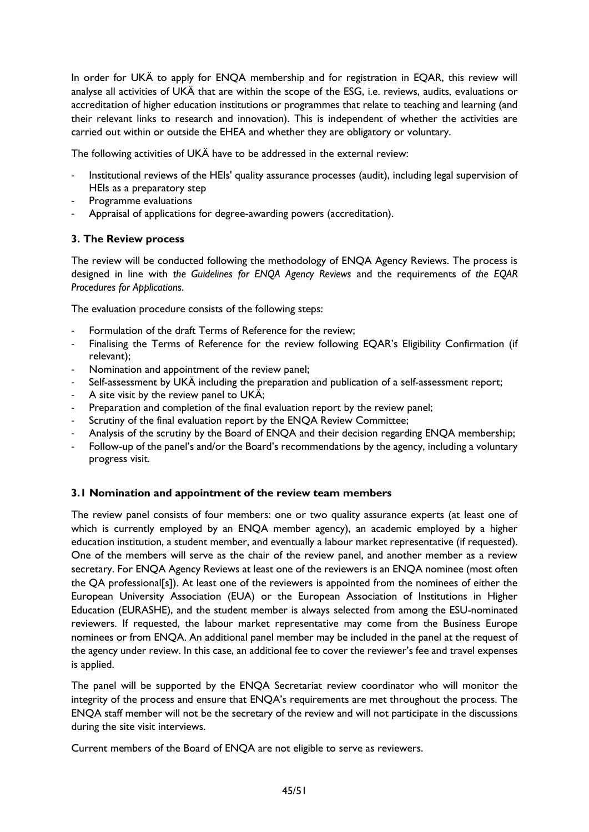In order for UKÄ to apply for ENQA membership and for registration in EQAR, this review will analyse all activities of UKÄ that are within the scope of the ESG, i.e. reviews, audits, evaluations or accreditation of higher education institutions or programmes that relate to teaching and learning (and their relevant links to research and innovation). This is independent of whether the activities are carried out within or outside the EHEA and whether they are obligatory or voluntary.

The following activities of UKÄ have to be addressed in the external review:

- Institutional reviews of the HEIs' quality assurance processes (audit), including legal supervision of HEIs as a preparatory step
- Programme evaluations
- Appraisal of applications for degree-awarding powers (accreditation).

#### **3. The Review process**

The review will be conducted following the methodology of ENQA Agency Reviews. The process is designed in line with *the Guidelines for ENQA Agency Reviews* and the requirements of *the EQAR Procedures for Applications*.

The evaluation procedure consists of the following steps:

- Formulation of the draft Terms of Reference for the review;
- Finalising the Terms of Reference for the review following EQAR's Eligibility Confirmation (if relevant);
- Nomination and appointment of the review panel;
- Self-assessment by UKÄ including the preparation and publication of a self-assessment report;
- A site visit by the review panel to UKÄ;
- Preparation and completion of the final evaluation report by the review panel;
- Scrutiny of the final evaluation report by the ENQA Review Committee;
- Analysis of the scrutiny by the Board of ENQA and their decision regarding ENQA membership;
- Follow-up of the panel's and/or the Board's recommendations by the agency, including a voluntary progress visit.

#### **3.1 Nomination and appointment of the review team members**

The review panel consists of four members: one or two quality assurance experts (at least one of which is currently employed by an ENQA member agency), an academic employed by a higher education institution, a student member, and eventually a labour market representative (if requested). One of the members will serve as the chair of the review panel, and another member as a review secretary. For ENQA Agency Reviews at least one of the reviewers is an ENQA nominee (most often the QA professional[s]). At least one of the reviewers is appointed from the nominees of either the European University Association (EUA) or the European Association of Institutions in Higher Education (EURASHE), and the student member is always selected from among the ESU-nominated reviewers. If requested, the labour market representative may come from the Business Europe nominees or from ENQA. An additional panel member may be included in the panel at the request of the agency under review. In this case, an additional fee to cover the reviewer's fee and travel expenses is applied.

The panel will be supported by the ENQA Secretariat review coordinator who will monitor the integrity of the process and ensure that ENQA's requirements are met throughout the process. The ENQA staff member will not be the secretary of the review and will not participate in the discussions during the site visit interviews.

Current members of the Board of ENQA are not eligible to serve as reviewers.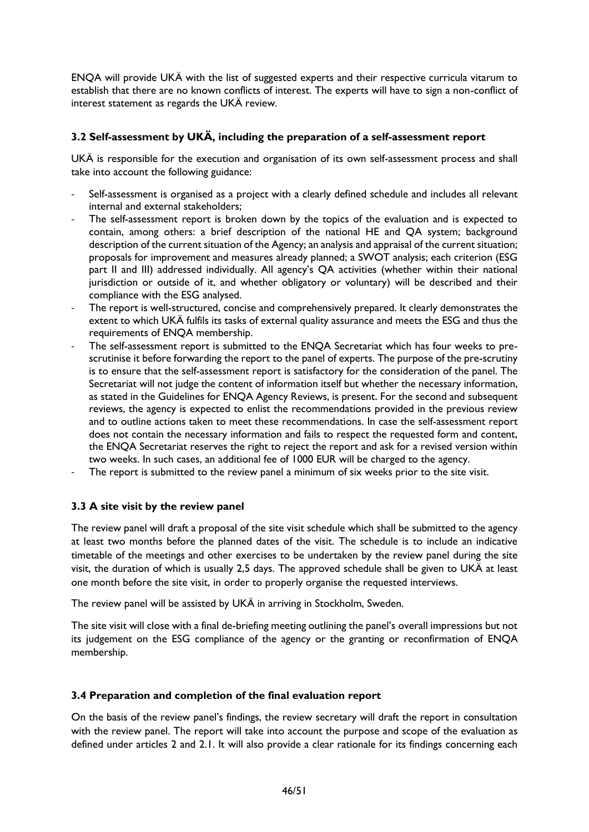ENQA will provide UKÄ with the list of suggested experts and their respective curricula vitarum to establish that there are no known conflicts of interest. The experts will have to sign a non-conflict of interest statement as regards the UKÄ review.

# **3.2 Self-assessment by UKÄ, including the preparation of a self-assessment report**

UKÄ is responsible for the execution and organisation of its own self-assessment process and shall take into account the following guidance:

- Self-assessment is organised as a project with a clearly defined schedule and includes all relevant internal and external stakeholders;
- The self-assessment report is broken down by the topics of the evaluation and is expected to contain, among others: a brief description of the national HE and QA system; background description of the current situation of the Agency; an analysis and appraisal of the current situation; proposals for improvement and measures already planned; a SWOT analysis; each criterion (ESG part II and III) addressed individually. All agency's QA activities (whether within their national jurisdiction or outside of it, and whether obligatory or voluntary) will be described and their compliance with the ESG analysed.
- The report is well-structured, concise and comprehensively prepared. It clearly demonstrates the extent to which UKÄ fulfils its tasks of external quality assurance and meets the ESG and thus the requirements of ENQA membership.
- The self-assessment report is submitted to the ENQA Secretariat which has four weeks to prescrutinise it before forwarding the report to the panel of experts. The purpose of the pre-scrutiny is to ensure that the self-assessment report is satisfactory for the consideration of the panel. The Secretariat will not judge the content of information itself but whether the necessary information, as stated in the Guidelines for ENQA Agency Reviews, is present. For the second and subsequent reviews, the agency is expected to enlist the recommendations provided in the previous review and to outline actions taken to meet these recommendations. In case the self-assessment report does not contain the necessary information and fails to respect the requested form and content, the ENQA Secretariat reserves the right to reject the report and ask for a revised version within two weeks. In such cases, an additional fee of 1000 EUR will be charged to the agency.
- The report is submitted to the review panel a minimum of six weeks prior to the site visit.

#### **3.3 A site visit by the review panel**

The review panel will draft a proposal of the site visit schedule which shall be submitted to the agency at least two months before the planned dates of the visit. The schedule is to include an indicative timetable of the meetings and other exercises to be undertaken by the review panel during the site visit, the duration of which is usually 2,5 days. The approved schedule shall be given to UKÄ at least one month before the site visit, in order to properly organise the requested interviews.

The review panel will be assisted by UKÄ in arriving in Stockholm, Sweden.

The site visit will close with a final de-briefing meeting outlining the panel's overall impressions but not its judgement on the ESG compliance of the agency or the granting or reconfirmation of ENQA membership.

#### **3.4 Preparation and completion of the final evaluation report**

On the basis of the review panel's findings, the review secretary will draft the report in consultation with the review panel. The report will take into account the purpose and scope of the evaluation as defined under articles 2 and 2.1. It will also provide a clear rationale for its findings concerning each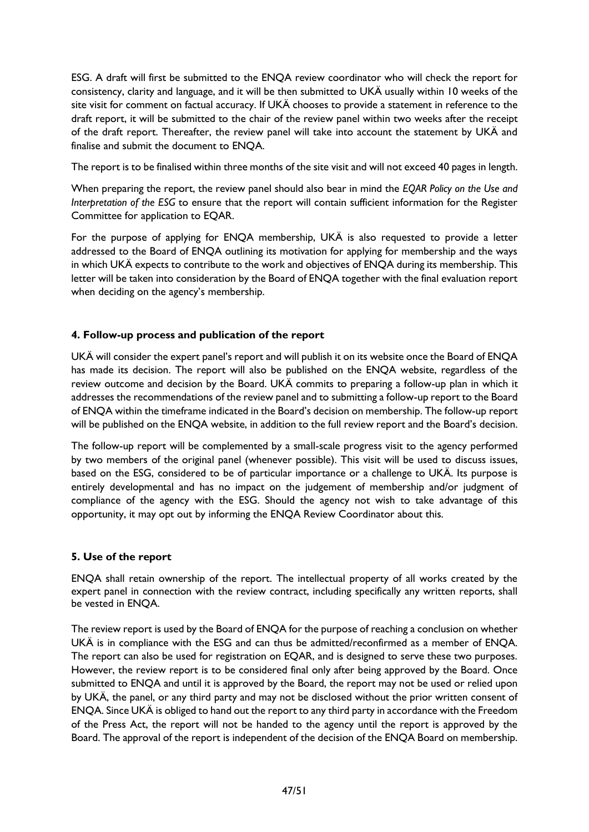ESG. A draft will first be submitted to the ENQA review coordinator who will check the report for consistency, clarity and language, and it will be then submitted to UKÄ usually within 10 weeks of the site visit for comment on factual accuracy. If UKÄ chooses to provide a statement in reference to the draft report, it will be submitted to the chair of the review panel within two weeks after the receipt of the draft report. Thereafter, the review panel will take into account the statement by UKÄ and finalise and submit the document to ENQA.

The report is to be finalised within three months of the site visit and will not exceed 40 pages in length.

When preparing the report, the review panel should also bear in mind the *EQAR Policy on the Use and Interpretation of the ESG* to ensure that the report will contain sufficient information for the Register Committee for application to EQAR.

For the purpose of applying for ENQA membership, UKÄ is also requested to provide a letter addressed to the Board of ENQA outlining its motivation for applying for membership and the ways in which UKÄ expects to contribute to the work and objectives of ENQA during its membership. This letter will be taken into consideration by the Board of ENQA together with the final evaluation report when deciding on the agency's membership.

# **4. Follow-up process and publication of the report**

UKÄ will consider the expert panel's report and will publish it on its website once the Board of ENQA has made its decision. The report will also be published on the ENQA website, regardless of the review outcome and decision by the Board. UKÄ commits to preparing a follow-up plan in which it addresses the recommendations of the review panel and to submitting a follow-up report to the Board of ENQA within the timeframe indicated in the Board's decision on membership. The follow-up report will be published on the ENQA website, in addition to the full review report and the Board's decision.

The follow-up report will be complemented by a small-scale progress visit to the agency performed by two members of the original panel (whenever possible). This visit will be used to discuss issues, based on the ESG, considered to be of particular importance or a challenge to UKÄ. Its purpose is entirely developmental and has no impact on the judgement of membership and/or judgment of compliance of the agency with the ESG. Should the agency not wish to take advantage of this opportunity, it may opt out by informing the ENQA Review Coordinator about this.

# **5. Use of the report**

ENQA shall retain ownership of the report. The intellectual property of all works created by the expert panel in connection with the review contract, including specifically any written reports, shall be vested in ENQA.

The review report is used by the Board of ENQA for the purpose of reaching a conclusion on whether UKÄ is in compliance with the ESG and can thus be admitted/reconfirmed as a member of ENQA. The report can also be used for registration on EQAR, and is designed to serve these two purposes. However, the review report is to be considered final only after being approved by the Board. Once submitted to ENQA and until it is approved by the Board, the report may not be used or relied upon by UKÄ, the panel, or any third party and may not be disclosed without the prior written consent of ENQA. Since UKÄ is obliged to hand out the report to any third party in accordance with the Freedom of the Press Act, the report will not be handed to the agency until the report is approved by the Board. The approval of the report is independent of the decision of the ENQA Board on membership.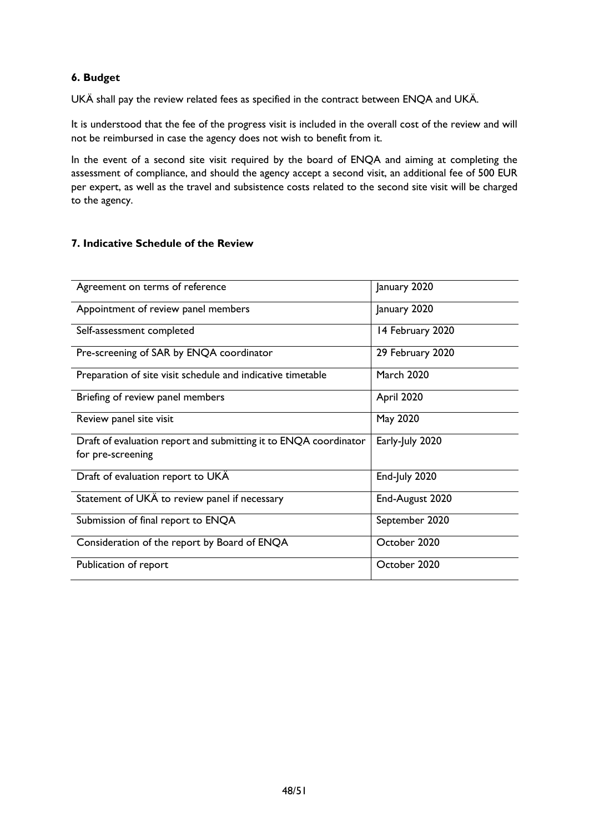### **6. Budget**

UKÄ shall pay the review related fees as specified in the contract between ENQA and UKÄ.

It is understood that the fee of the progress visit is included in the overall cost of the review and will not be reimbursed in case the agency does not wish to benefit from it.

In the event of a second site visit required by the board of ENQA and aiming at completing the assessment of compliance, and should the agency accept a second visit, an additional fee of 500 EUR per expert, as well as the travel and subsistence costs related to the second site visit will be charged to the agency.

#### **7. Indicative Schedule of the Review**

<span id="page-48-0"></span>

| Agreement on terms of reference                                                       | January 2020      |
|---------------------------------------------------------------------------------------|-------------------|
| Appointment of review panel members                                                   | January 2020      |
| Self-assessment completed                                                             | 14 February 2020  |
| Pre-screening of SAR by ENQA coordinator                                              | 29 February 2020  |
| Preparation of site visit schedule and indicative timetable                           | <b>March 2020</b> |
| Briefing of review panel members                                                      | April 2020        |
| Review panel site visit                                                               | May 2020          |
| Draft of evaluation report and submitting it to ENQA coordinator<br>for pre-screening | Early-July 2020   |
| Draft of evaluation report to UKÄ                                                     | End-July 2020     |
| Statement of UKÄ to review panel if necessary                                         | End-August 2020   |
| Submission of final report to ENQA                                                    | September 2020    |
| Consideration of the report by Board of ENQA                                          | October 2020      |
| Publication of report                                                                 | October 2020      |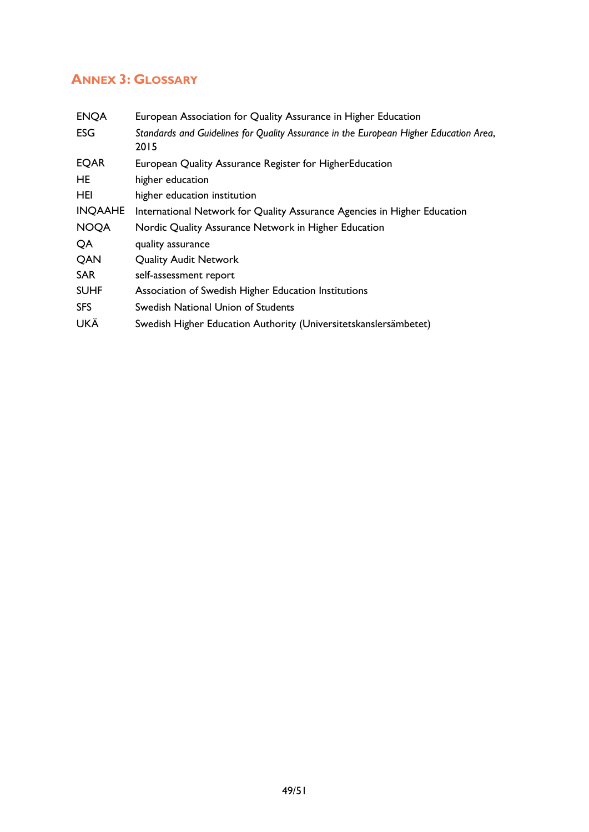# **ANNEX 3: GLOSSARY**

| <b>ENQA</b>    | European Association for Quality Assurance in Higher Education                                |  |  |
|----------------|-----------------------------------------------------------------------------------------------|--|--|
| <b>ESG</b>     | Standards and Guidelines for Quality Assurance in the European Higher Education Area,<br>2015 |  |  |
| <b>EQAR</b>    | European Quality Assurance Register for HigherEducation                                       |  |  |
| HE             | higher education                                                                              |  |  |
| HEI            | higher education institution                                                                  |  |  |
| <b>INQAAHE</b> | International Network for Quality Assurance Agencies in Higher Education                      |  |  |
| <b>NOQA</b>    | Nordic Quality Assurance Network in Higher Education                                          |  |  |
| QA             | quality assurance                                                                             |  |  |
| QAN            | <b>Quality Audit Network</b>                                                                  |  |  |
| <b>SAR</b>     | self-assessment report                                                                        |  |  |
| <b>SUHF</b>    | Association of Swedish Higher Education Institutions                                          |  |  |
| <b>SFS</b>     | Swedish National Union of Students                                                            |  |  |
| UKÄ            | Swedish Higher Education Authority (Universitetskanslersämbetet)                              |  |  |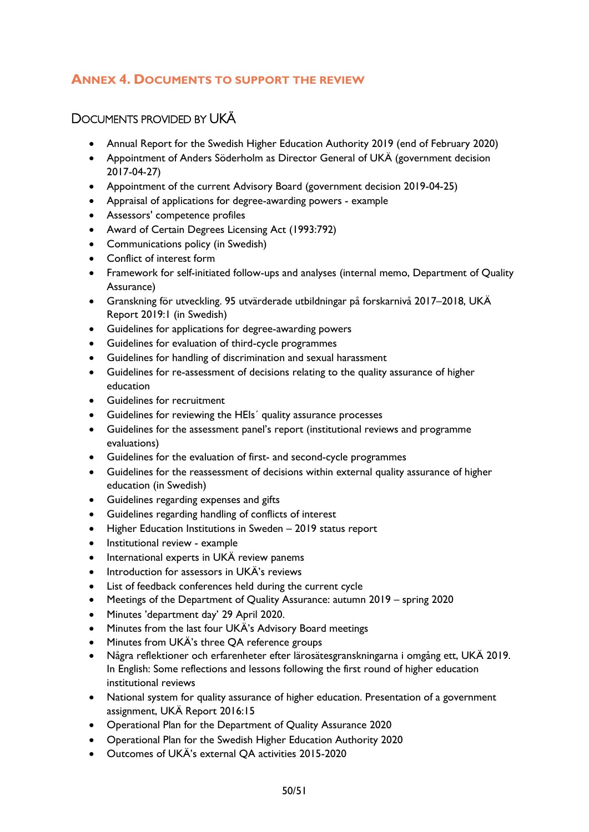# <span id="page-50-0"></span>**ANNEX 4. DOCUMENTS TO SUPPORT THE REVIEW**

# <span id="page-50-1"></span>DOCUMENTS PROVIDED BY UKÄ

- Annual Report for the Swedish Higher Education Authority 2019 (end of February 2020)
- Appointment of Anders Söderholm as Director General of UKÄ (government decision 2017-04-27)
- Appointment of the current Advisory Board (government decision 2019-04-25)
- Appraisal of applications for degree-awarding powers example
- Assessors' competence profiles
- Award of Certain Degrees Licensing Act (1993:792)
- Communications policy (in Swedish)
- Conflict of interest form
- Framework for self-initiated follow-ups and analyses (internal memo, Department of Quality Assurance)
- Granskning för utveckling. 95 utvärderade utbildningar på forskarnivå 2017–2018, UKÄ Report 2019:1 (in Swedish)
- Guidelines for applications for degree-awarding powers
- Guidelines for evaluation of third-cycle programmes
- Guidelines for handling of discrimination and sexual harassment
- Guidelines for re-assessment of decisions relating to the quality assurance of higher education
- Guidelines for recruitment
- Guidelines for reviewing the HEIs´ quality assurance processes
- Guidelines for the assessment panel's report (institutional reviews and programme evaluations)
- Guidelines for the evaluation of first- and second-cycle programmes
- Guidelines for the reassessment of decisions within external quality assurance of higher education (in Swedish)
- Guidelines regarding expenses and gifts
- Guidelines regarding handling of conflicts of interest
- Higher Education Institutions in Sweden 2019 status report
- Institutional review example
- International experts in UKÄ review panems
- Introduction for assessors in UKÄ's reviews
- List of feedback conferences held during the current cycle
- Meetings of the Department of Quality Assurance: autumn 2019 spring 2020
- Minutes 'department day' 29 April 2020.
- Minutes from the last four UKÄ's Advisory Board meetings
- Minutes from UKÄ's three QA reference groups
- Några reflektioner och erfarenheter efter lärosätesgranskningarna i omgång ett, UKÄ 2019. In English: Some reflections and lessons following the first round of higher education institutional reviews
- National system for quality assurance of higher education. Presentation of a government assignment, UKÄ Report 2016:15
- Operational Plan for the Department of Quality Assurance 2020
- Operational Plan for the Swedish Higher Education Authority 2020
- Outcomes of UKÄ's external QA activities 2015-2020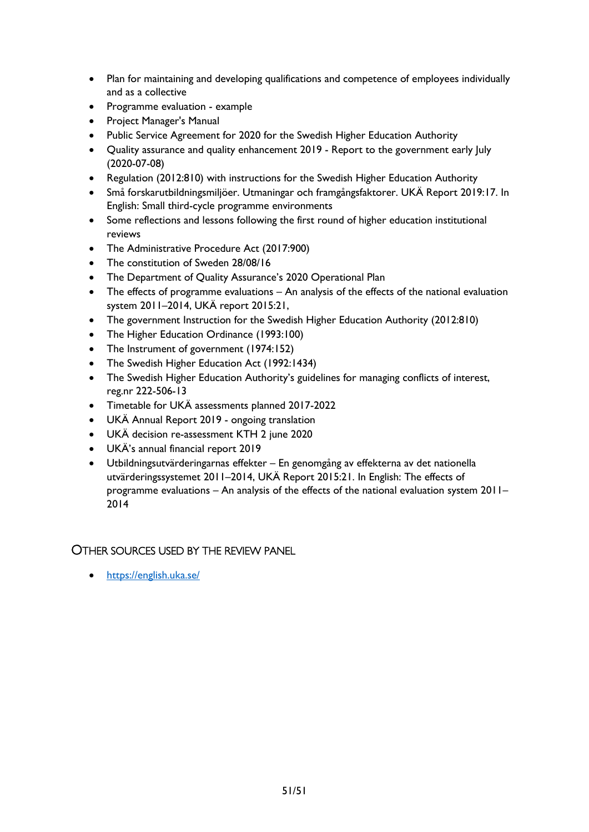- Plan for maintaining and developing qualifications and competence of employees individually and as a collective
- Programme evaluation example
- Project Manager's Manual
- Public Service Agreement for 2020 for the Swedish Higher Education Authority
- Ouality assurance and quality enhancement 2019 Report to the government early luly (2020-07-08)
- Regulation (2012:810) with instructions for the Swedish Higher Education Authority
- Små forskarutbildningsmiljöer. Utmaningar och framgångsfaktorer. UKÄ Report 2019:17. In English: Small third-cycle programme environments
- Some reflections and lessons following the first round of higher education institutional reviews
- The Administrative Procedure Act (2017:900)
- The constitution of Sweden 28/08/16
- The Department of Quality Assurance's 2020 Operational Plan
- The effects of programme evaluations An analysis of the effects of the national evaluation system 2011–2014, UKÄ report 2015:21,
- The government Instruction for the Swedish Higher Education Authority (2012:810)
- The Higher Education Ordinance (1993:100)
- The Instrument of government (1974:152)
- The Swedish Higher Education Act (1992:1434)
- The Swedish Higher Education Authority's guidelines for managing conflicts of interest, reg.nr 222-506-13
- Timetable for UKÄ assessments planned 2017-2022
- UKÄ Annual Report 2019 ongoing translation
- UKÄ decision re-assessment KTH 2 june 2020
- UKÄ's annual financial report 2019
- Utbildningsutvärderingarnas effekter En genomgång av effekterna av det nationella utvärderingssystemet 2011–2014, UKÄ Report 2015:21. In English: The effects of programme evaluations – An analysis of the effects of the national evaluation system 2011– 2014

# <span id="page-51-0"></span>OTHER SOURCES USED BY THE REVIEW PANEL

• <https://english.uka.se/>